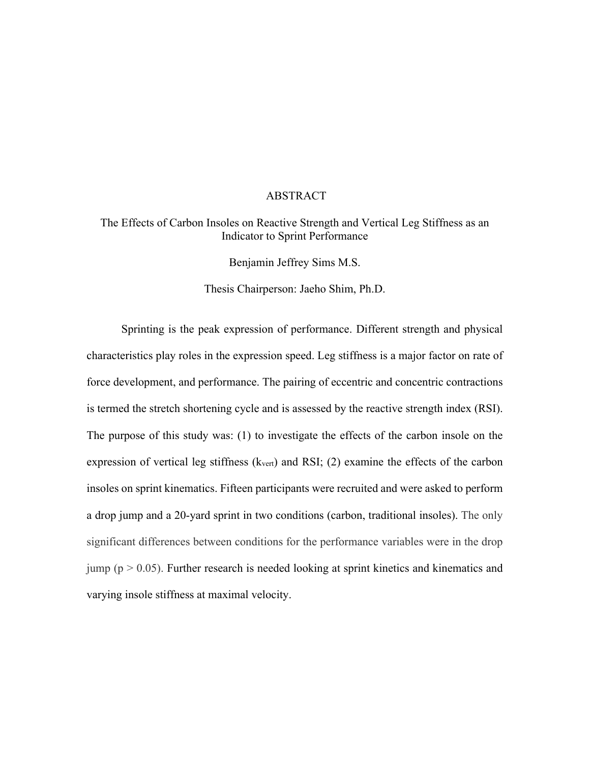## ABSTRACT

## The Effects of Carbon Insoles on Reactive Strength and Vertical Leg Stiffness as an Indicator to Sprint Performance

Benjamin Jeffrey Sims M.S.

Thesis Chairperson: Jaeho Shim, Ph.D.

Sprinting is the peak expression of performance. Different strength and physical characteristics play roles in the expression speed. Leg stiffness is a major factor on rate of force development, and performance. The pairing of eccentric and concentric contractions is termed the stretch shortening cycle and is assessed by the reactive strength index (RSI). The purpose of this study was: (1) to investigate the effects of the carbon insole on the expression of vertical leg stiffness  $(k_{\text{vert}})$  and RSI; (2) examine the effects of the carbon insoles on sprint kinematics. Fifteen participants were recruited and were asked to perform a drop jump and a 20-yard sprint in two conditions (carbon, traditional insoles). The only significant differences between conditions for the performance variables were in the drop jump ( $p > 0.05$ ). Further research is needed looking at sprint kinetics and kinematics and varying insole stiffness at maximal velocity.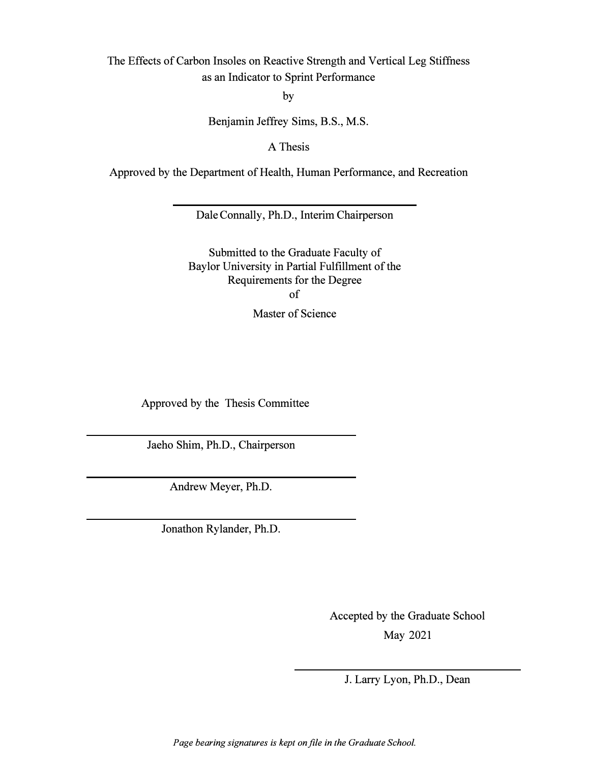The Effects of Carbon Insoles on Reactive Strength and Vertical Leg Stiffness as an Indicator to Sprint Performance

by

Benjamin Jeffrey Sims, B.S., M.S.

A Thesis

Approved by the Department of Health, Human Performance, and Recreation

Dale Connally, Ph.D., Interim Chairperson

Submitted to the Graduate Faculty of Baylor University in Partial Fulfillment of the Requirements for the Degree of Master of Science

Approved by the Thesis Committee

Jaeho Shim, Ph.D., Chairperson

Andrew Meyer, Ph.D.

Jonathon Rylander, Ph.D.

Accepted by the Graduate School

May 2021

J. Larry Lyon, Ph.D., Dean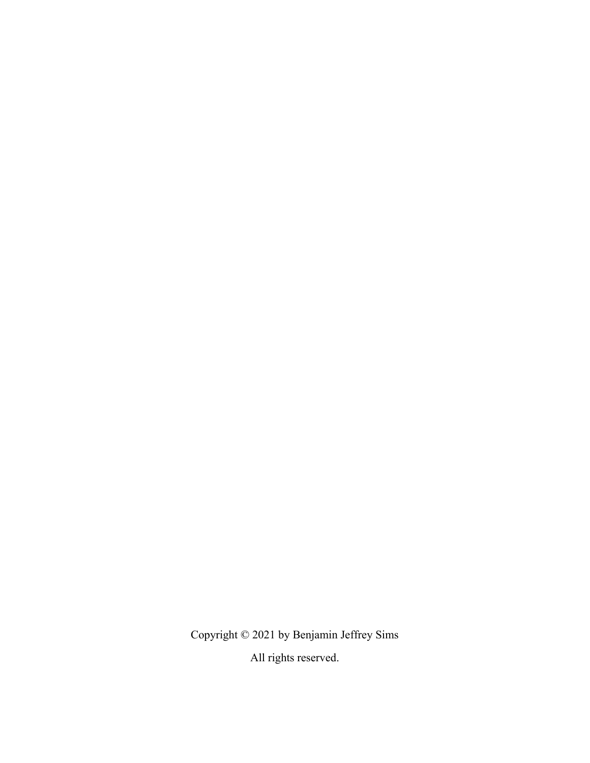Copyright © 2021 by Benjamin Jeffrey Sims

All rights reserved.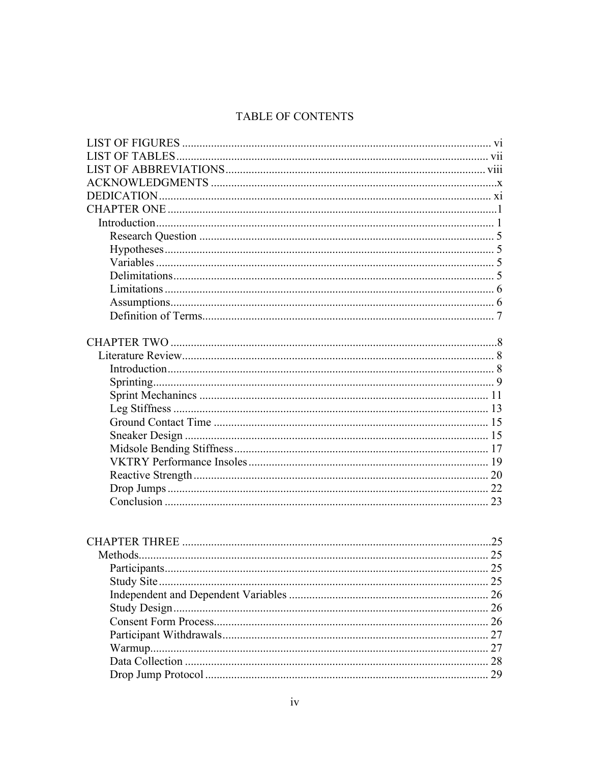# TABLE OF CONTENTS

| Participants. |  |
|---------------|--|
|               |  |
|               |  |
|               |  |
|               |  |
|               |  |
|               |  |
|               |  |
|               |  |
|               |  |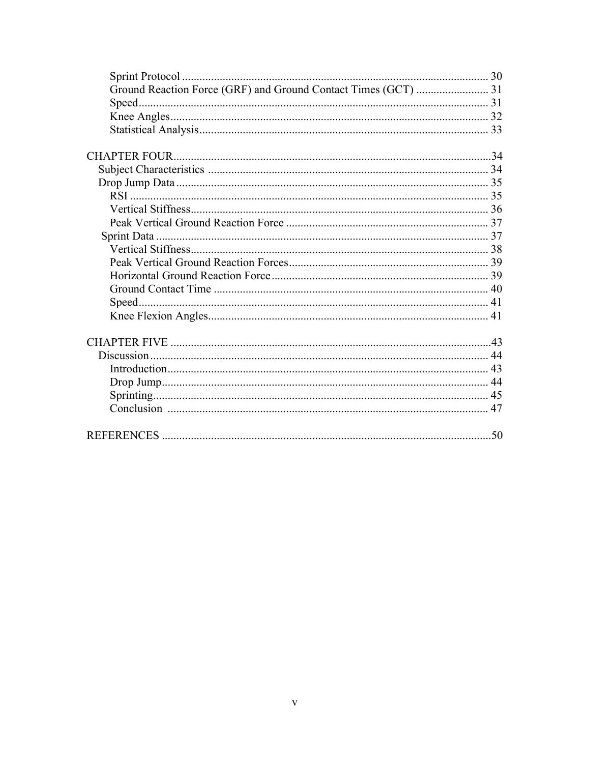| Speed |  |
|-------|--|
|       |  |
|       |  |
|       |  |
|       |  |
|       |  |
|       |  |
|       |  |
|       |  |
|       |  |
|       |  |
|       |  |
|       |  |
|       |  |
|       |  |
|       |  |
|       |  |
|       |  |
|       |  |
|       |  |
|       |  |
|       |  |
|       |  |
|       |  |
|       |  |
|       |  |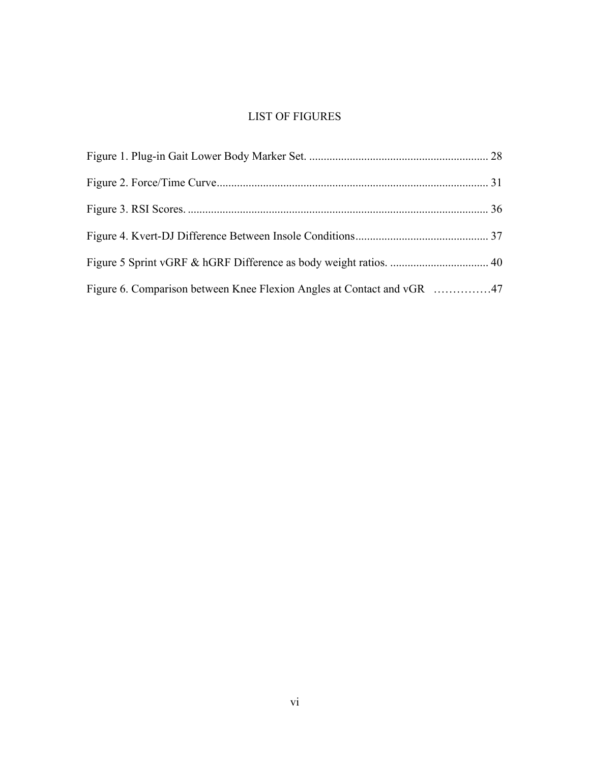# LIST OF FIGURES

| Figure 6. Comparison between Knee Flexion Angles at Contact and vGR 47 |  |
|------------------------------------------------------------------------|--|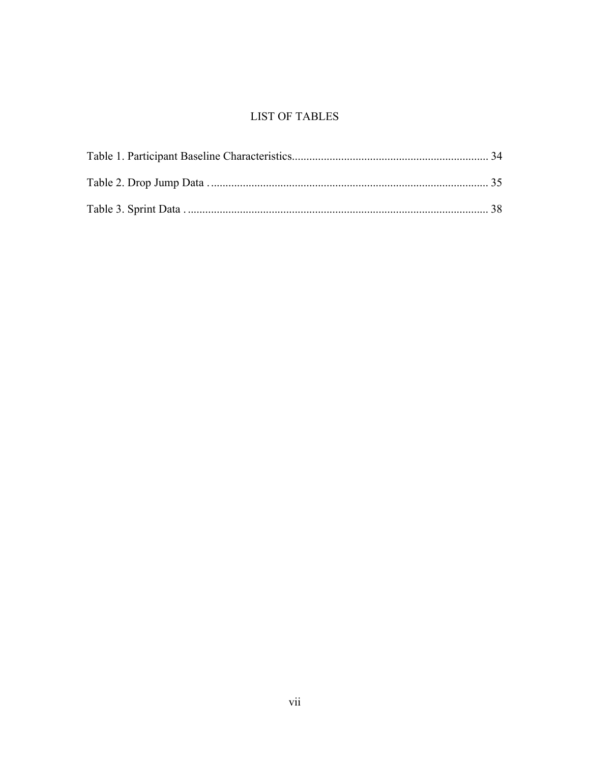# **LIST OF TABLES**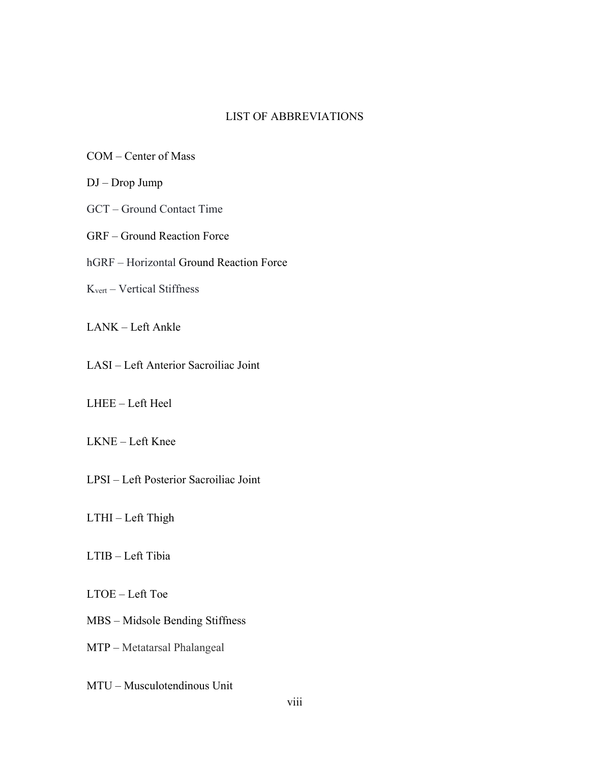## LIST OF ABBREVIATIONS

- COM Center of Mass
- DJ Drop Jump
- GCT Ground Contact Time
- GRF Ground Reaction Force
- hGRF Horizontal Ground Reaction Force
- Kvert Vertical Stiffness
- LANK Left Ankle
- LASI Left Anterior Sacroiliac Joint
- LHEE Left Heel
- LKNE Left Knee
- LPSI Left Posterior Sacroiliac Joint
- LTHI Left Thigh
- LTIB Left Tibia
- LTOE Left Toe
- MBS Midsole Bending Stiffness
- MTP Metatarsal Phalangeal
- MTU Musculotendinous Unit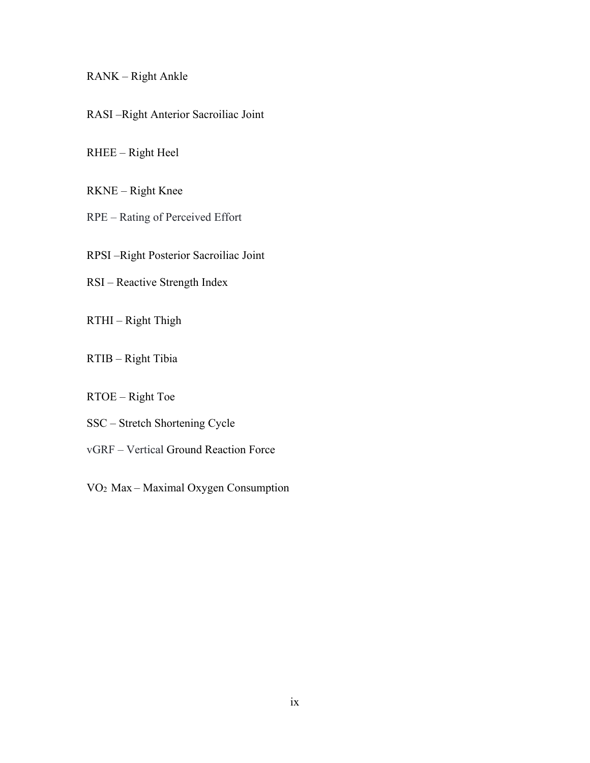## RANK – Right Ankle

RASI –Right Anterior Sacroiliac Joint

RHEE – Right Heel

RKNE – Right Knee

RPE – Rating of Perceived Effort

RPSI –Right Posterior Sacroiliac Joint

RSI – Reactive Strength Index

RTHI – Right Thigh

RTIB – Right Tibia

RTOE – Right Toe

SSC – Stretch Shortening Cycle

vGRF – Vertical Ground Reaction Force

VO2 Max – Maximal Oxygen Consumption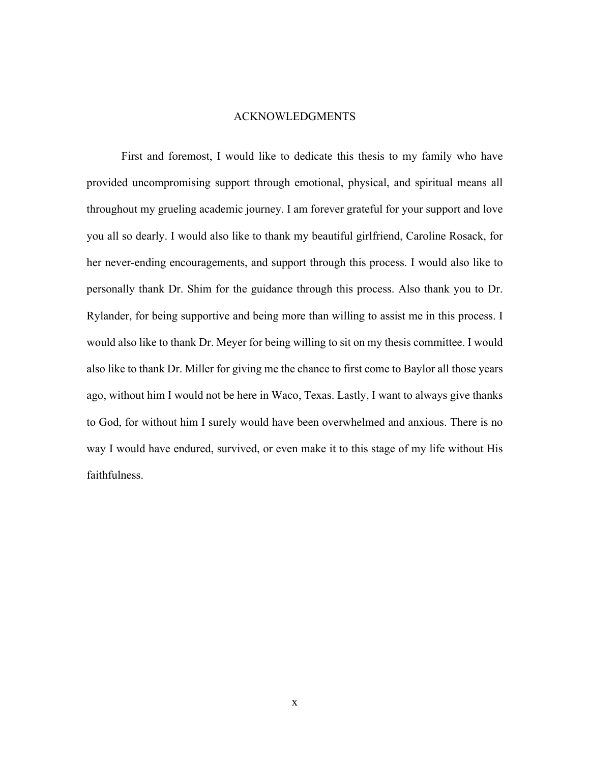## ACKNOWLEDGMENTS

First and foremost, I would like to dedicate this thesis to my family who have provided uncompromising support through emotional, physical, and spiritual means all throughout my grueling academic journey. I am forever grateful for your support and love you all so dearly. I would also like to thank my beautiful girlfriend, Caroline Rosack, for her never-ending encouragements, and support through this process. I would also like to personally thank Dr. Shim for the guidance through this process. Also thank you to Dr. Rylander, for being supportive and being more than willing to assist me in this process. I would also like to thank Dr. Meyer for being willing to sit on my thesis committee. I would also like to thank Dr. Miller for giving me the chance to first come to Baylor all those years ago, without him I would not be here in Waco, Texas. Lastly, I want to always give thanks to God, for without him I surely would have been overwhelmed and anxious. There is no way I would have endured, survived, or even make it to this stage of my life without His faithfulness.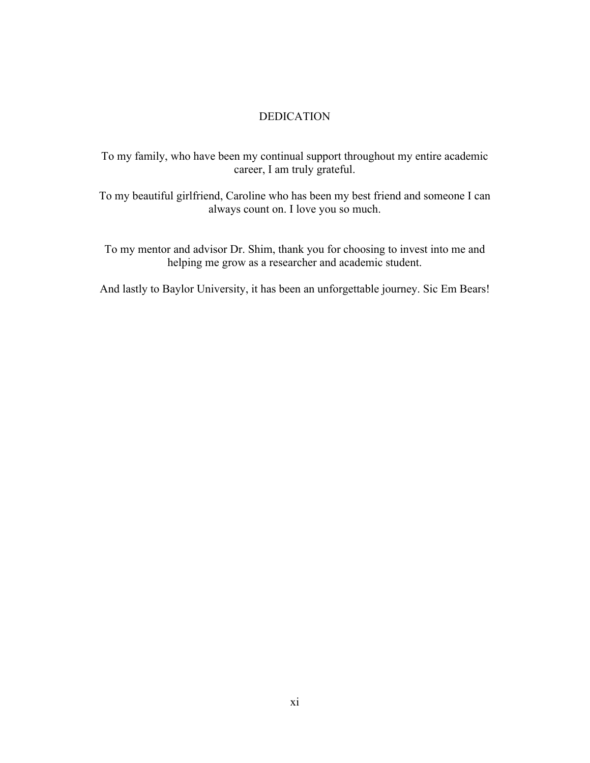## DEDICATION

To my family, who have been my continual support throughout my entire academic career, I am truly grateful.

To my beautiful girlfriend, Caroline who has been my best friend and someone I can always count on. I love you so much.

To my mentor and advisor Dr. Shim, thank you for choosing to invest into me and helping me grow as a researcher and academic student.

And lastly to Baylor University, it has been an unforgettable journey. Sic Em Bears!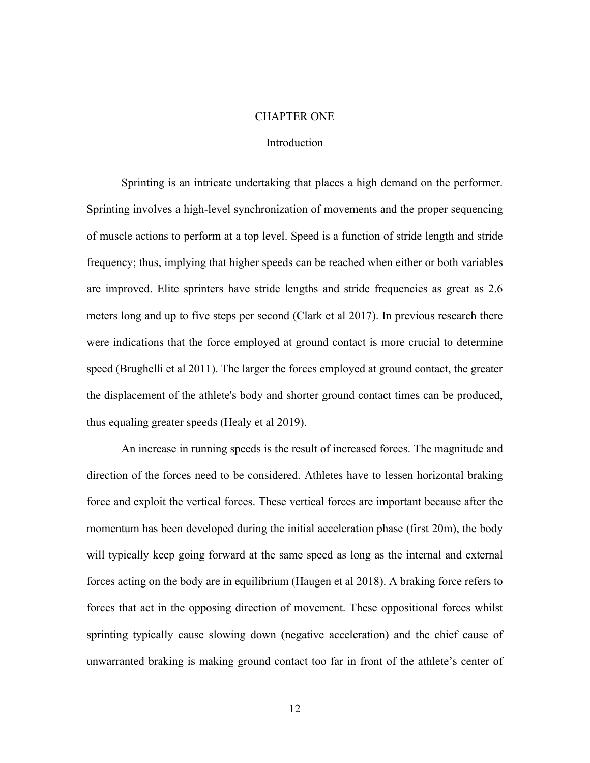## CHAPTER ONE

## Introduction

Sprinting is an intricate undertaking that places a high demand on the performer. Sprinting involves a high-level synchronization of movements and the proper sequencing of muscle actions to perform at a top level. Speed is a function of stride length and stride frequency; thus, implying that higher speeds can be reached when either or both variables are improved. Elite sprinters have stride lengths and stride frequencies as great as 2.6 meters long and up to five steps per second (Clark et al 2017). In previous research there were indications that the force employed at ground contact is more crucial to determine speed (Brughelli et al 2011). The larger the forces employed at ground contact, the greater the displacement of the athlete's body and shorter ground contact times can be produced, thus equaling greater speeds (Healy et al 2019).

An increase in running speeds is the result of increased forces. The magnitude and direction of the forces need to be considered. Athletes have to lessen horizontal braking force and exploit the vertical forces. These vertical forces are important because after the momentum has been developed during the initial acceleration phase (first 20m), the body will typically keep going forward at the same speed as long as the internal and external forces acting on the body are in equilibrium (Haugen et al 2018). A braking force refers to forces that act in the opposing direction of movement. These oppositional forces whilst sprinting typically cause slowing down (negative acceleration) and the chief cause of unwarranted braking is making ground contact too far in front of the athlete's center of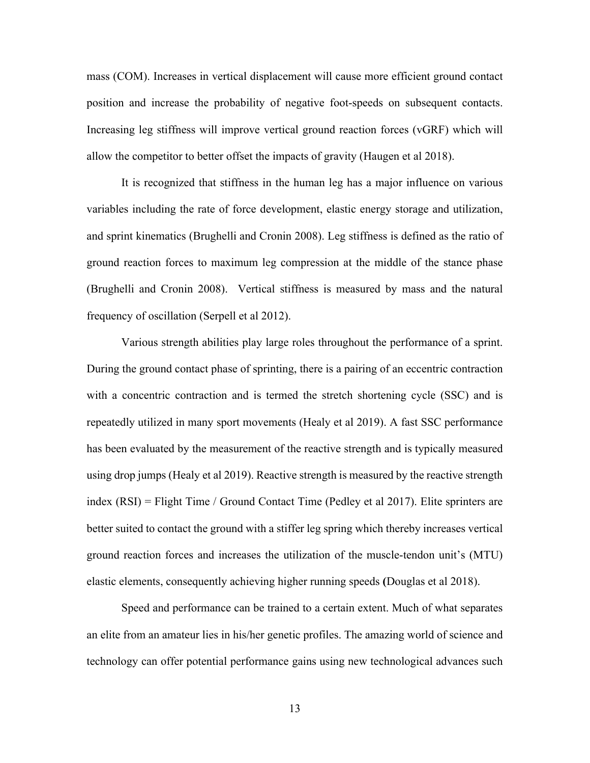mass (COM). Increases in vertical displacement will cause more efficient ground contact position and increase the probability of negative foot-speeds on subsequent contacts. Increasing leg stiffness will improve vertical ground reaction forces (vGRF) which will allow the competitor to better offset the impacts of gravity (Haugen et al 2018).

It is recognized that stiffness in the human leg has a major influence on various variables including the rate of force development, elastic energy storage and utilization, and sprint kinematics (Brughelli and Cronin 2008). Leg stiffness is defined as the ratio of ground reaction forces to maximum leg compression at the middle of the stance phase (Brughelli and Cronin 2008). Vertical stiffness is measured by mass and the natural frequency of oscillation (Serpell et al 2012).

Various strength abilities play large roles throughout the performance of a sprint. During the ground contact phase of sprinting, there is a pairing of an eccentric contraction with a concentric contraction and is termed the stretch shortening cycle (SSC) and is repeatedly utilized in many sport movements (Healy et al 2019). A fast SSC performance has been evaluated by the measurement of the reactive strength and is typically measured using drop jumps (Healy et al 2019). Reactive strength is measured by the reactive strength index (RSI) = Flight Time / Ground Contact Time (Pedley et al 2017). Elite sprinters are better suited to contact the ground with a stiffer leg spring which thereby increases vertical ground reaction forces and increases the utilization of the muscle-tendon unit's (MTU) elastic elements, consequently achieving higher running speeds **(**Douglas et al 2018).

Speed and performance can be trained to a certain extent. Much of what separates an elite from an amateur lies in his/her genetic profiles. The amazing world of science and technology can offer potential performance gains using new technological advances such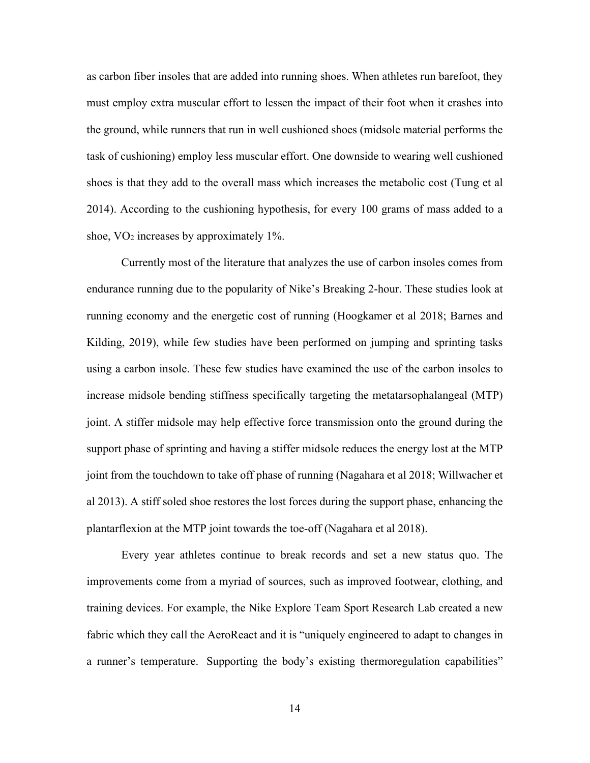as carbon fiber insoles that are added into running shoes. When athletes run barefoot, they must employ extra muscular effort to lessen the impact of their foot when it crashes into the ground, while runners that run in well cushioned shoes (midsole material performs the task of cushioning) employ less muscular effort. One downside to wearing well cushioned shoes is that they add to the overall mass which increases the metabolic cost (Tung et al 2014). According to the cushioning hypothesis, for every 100 grams of mass added to a shoe, VO2 increases by approximately 1%.

Currently most of the literature that analyzes the use of carbon insoles comes from endurance running due to the popularity of Nike's Breaking 2-hour. These studies look at running economy and the energetic cost of running (Hoogkamer et al 2018; Barnes and Kilding, 2019), while few studies have been performed on jumping and sprinting tasks using a carbon insole. These few studies have examined the use of the carbon insoles to increase midsole bending stiffness specifically targeting the metatarsophalangeal (MTP) joint. A stiffer midsole may help effective force transmission onto the ground during the support phase of sprinting and having a stiffer midsole reduces the energy lost at the MTP joint from the touchdown to take off phase of running (Nagahara et al 2018; Willwacher et al 2013). A stiff soled shoe restores the lost forces during the support phase, enhancing the plantarflexion at the MTP joint towards the toe-off (Nagahara et al 2018).

Every year athletes continue to break records and set a new status quo. The improvements come from a myriad of sources, such as improved footwear, clothing, and training devices. For example, the Nike Explore Team Sport Research Lab created a new fabric which they call the AeroReact and it is "uniquely engineered to adapt to changes in a runner's temperature. Supporting the body's existing thermoregulation capabilities"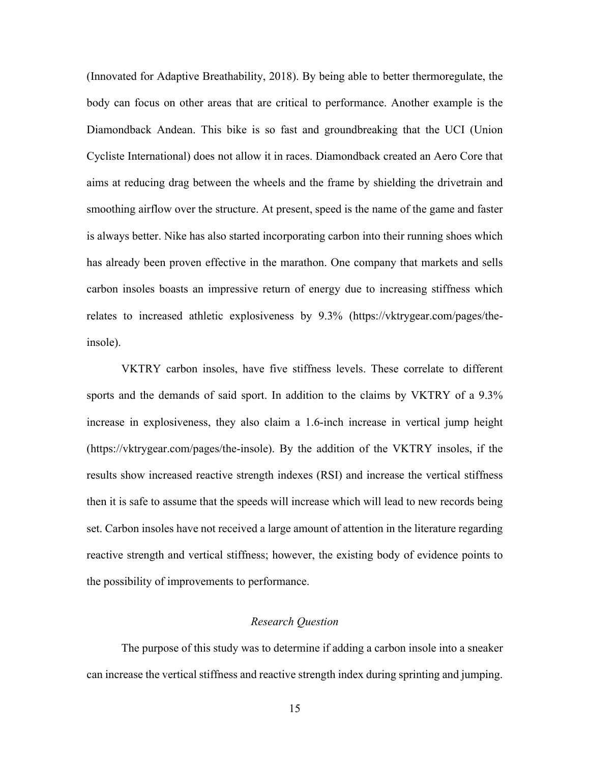(Innovated for Adaptive Breathability, 2018). By being able to better thermoregulate, the body can focus on other areas that are critical to performance. Another example is the Diamondback Andean. This bike is so fast and groundbreaking that the UCI (Union Cycliste International) does not allow it in races. Diamondback created an Aero Core that aims at reducing drag between the wheels and the frame by shielding the drivetrain and smoothing airflow over the structure. At present, speed is the name of the game and faster is always better. Nike has also started incorporating carbon into their running shoes which has already been proven effective in the marathon. One company that markets and sells carbon insoles boasts an impressive return of energy due to increasing stiffness which relates to increased athletic explosiveness by 9.3% (https://vktrygear.com/pages/theinsole).

VKTRY carbon insoles, have five stiffness levels. These correlate to different sports and the demands of said sport. In addition to the claims by VKTRY of a 9.3% increase in explosiveness, they also claim a 1.6-inch increase in vertical jump height (https://vktrygear.com/pages/the-insole). By the addition of the VKTRY insoles, if the results show increased reactive strength indexes (RSI) and increase the vertical stiffness then it is safe to assume that the speeds will increase which will lead to new records being set. Carbon insoles have not received a large amount of attention in the literature regarding reactive strength and vertical stiffness; however, the existing body of evidence points to the possibility of improvements to performance.

## *Research Question*

The purpose of this study was to determine if adding a carbon insole into a sneaker can increase the vertical stiffness and reactive strength index during sprinting and jumping.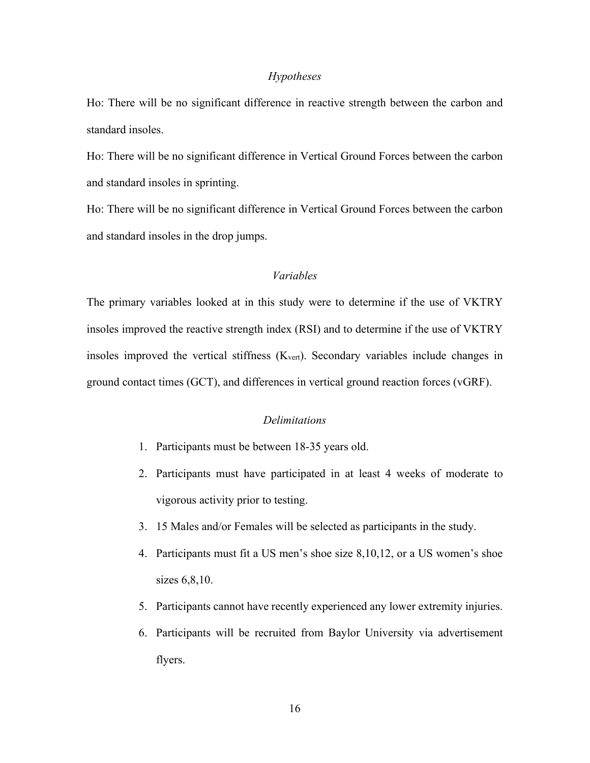#### *Hypotheses*

Ho: There will be no significant difference in reactive strength between the carbon and standard insoles.

Ho: There will be no significant difference in Vertical Ground Forces between the carbon and standard insoles in sprinting.

Ho: There will be no significant difference in Vertical Ground Forces between the carbon and standard insoles in the drop jumps.

## *Variables*

The primary variables looked at in this study were to determine if the use of VKTRY insoles improved the reactive strength index (RSI) and to determine if the use of VKTRY insoles improved the vertical stiffness (Kvert). Secondary variables include changes in ground contact times (GCT), and differences in vertical ground reaction forces (vGRF).

## *Delimitations*

- 1. Participants must be between 18-35 years old.
- 2. Participants must have participated in at least 4 weeks of moderate to vigorous activity prior to testing.
- 3. 15 Males and/or Females will be selected as participants in the study.
- 4. Participants must fit a US men's shoe size 8,10,12, or a US women's shoe sizes 6,8,10.
- 5. Participants cannot have recently experienced any lower extremity injuries.
- 6. Participants will be recruited from Baylor University via advertisement flyers.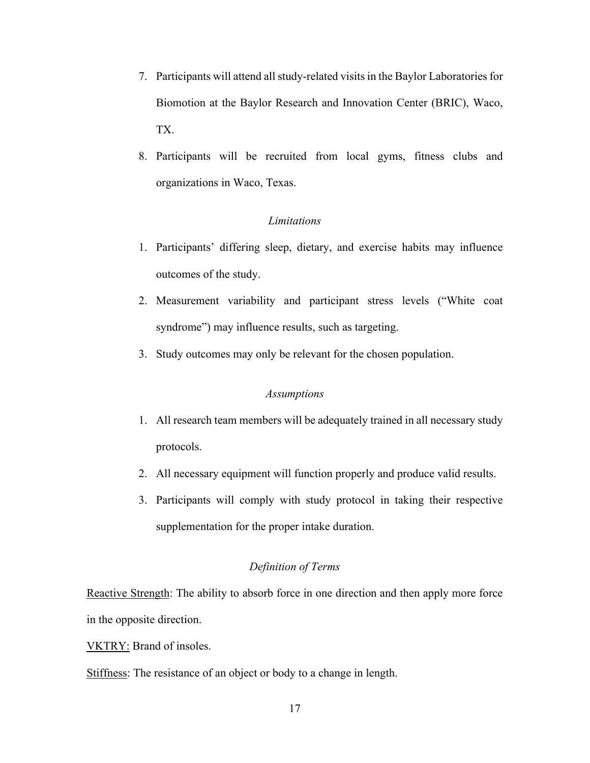- 7. Participants will attend all study-related visits in the Baylor Laboratories for Biomotion at the Baylor Research and Innovation Center (BRIC), Waco, TX.
- 8. Participants will be recruited from local gyms, fitness clubs and organizations in Waco, Texas.

#### *Limitations*

- 1. Participants' differing sleep, dietary, and exercise habits may influence outcomes of the study.
- 2. Measurement variability and participant stress levels ("White coat syndrome") may influence results, such as targeting.
- 3. Study outcomes may only be relevant for the chosen population.

## *Assumptions*

- 1. All research team members will be adequately trained in all necessary study protocols.
- 2. All necessary equipment will function properly and produce valid results.
- 3. Participants will comply with study protocol in taking their respective supplementation for the proper intake duration.

## *Definition of Terms*

Reactive Strength: The ability to absorb force in one direction and then apply more force in the opposite direction.

VKTRY: Brand of insoles.

Stiffness: The resistance of an object or body to a change in length.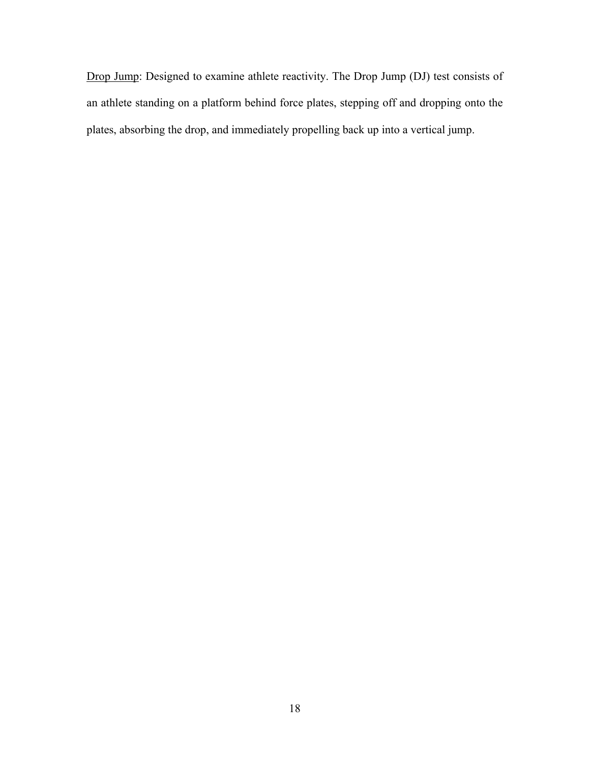Drop Jump: Designed to examine athlete reactivity. The Drop Jump (DJ) test consists of an athlete standing on a platform behind force plates, stepping off and dropping onto the plates, absorbing the drop, and immediately propelling back up into a vertical jump.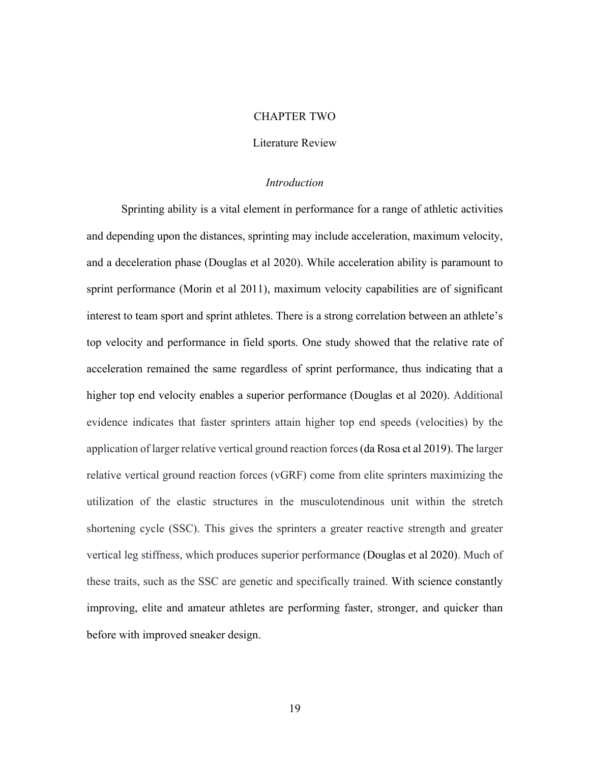#### CHAPTER TWO

## Literature Review

#### *Introduction*

 Sprinting ability is a vital element in performance for a range of athletic activities and depending upon the distances, sprinting may include acceleration, maximum velocity, and a deceleration phase (Douglas et al 2020). While acceleration ability is paramount to sprint performance (Morin et al 2011), maximum velocity capabilities are of significant interest to team sport and sprint athletes. There is a strong correlation between an athlete's top velocity and performance in field sports. One study showed that the relative rate of acceleration remained the same regardless of sprint performance, thus indicating that a higher top end velocity enables a superior performance (Douglas et al 2020). Additional evidence indicates that faster sprinters attain higher top end speeds (velocities) by the application of larger relative vertical ground reaction forces (da Rosa et al 2019). The larger relative vertical ground reaction forces (vGRF) come from elite sprinters maximizing the utilization of the elastic structures in the musculotendinous unit within the stretch shortening cycle (SSC). This gives the sprinters a greater reactive strength and greater vertical leg stiffness, which produces superior performance (Douglas et al 2020). Much of these traits, such as the SSC are genetic and specifically trained. With science constantly improving, elite and amateur athletes are performing faster, stronger, and quicker than before with improved sneaker design.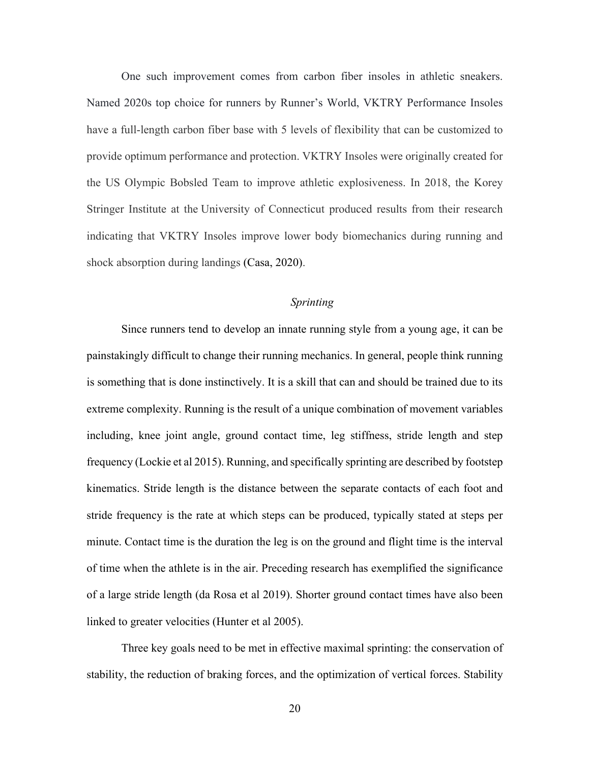One such improvement comes from carbon fiber insoles in athletic sneakers. Named 2020s top choice for runners by Runner's World, VKTRY Performance Insoles have a full-length carbon fiber base with 5 levels of flexibility that can be customized to provide optimum performance and protection. VKTRY Insoles were originally created for the US Olympic Bobsled Team to improve athletic explosiveness. In 2018, the Korey Stringer Institute at the University of Connecticut produced results from their research indicating that VKTRY Insoles improve lower body biomechanics during running and shock absorption during landings (Casa, 2020).

## *Sprinting*

Since runners tend to develop an innate running style from a young age, it can be painstakingly difficult to change their running mechanics. In general, people think running is something that is done instinctively. It is a skill that can and should be trained due to its extreme complexity. Running is the result of a unique combination of movement variables including, knee joint angle, ground contact time, leg stiffness, stride length and step frequency (Lockie et al 2015). Running, and specifically sprinting are described by footstep kinematics. Stride length is the distance between the separate contacts of each foot and stride frequency is the rate at which steps can be produced, typically stated at steps per minute. Contact time is the duration the leg is on the ground and flight time is the interval of time when the athlete is in the air. Preceding research has exemplified the significance of a large stride length (da Rosa et al 2019). Shorter ground contact times have also been linked to greater velocities (Hunter et al 2005).

Three key goals need to be met in effective maximal sprinting: the conservation of stability, the reduction of braking forces, and the optimization of vertical forces. Stability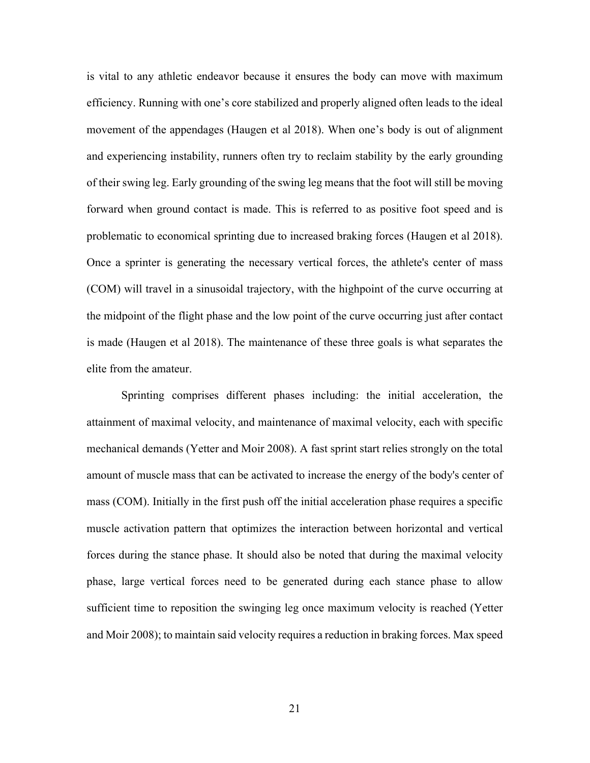is vital to any athletic endeavor because it ensures the body can move with maximum efficiency. Running with one's core stabilized and properly aligned often leads to the ideal movement of the appendages (Haugen et al 2018). When one's body is out of alignment and experiencing instability, runners often try to reclaim stability by the early grounding of their swing leg. Early grounding of the swing leg means that the foot will still be moving forward when ground contact is made. This is referred to as positive foot speed and is problematic to economical sprinting due to increased braking forces (Haugen et al 2018). Once a sprinter is generating the necessary vertical forces, the athlete's center of mass (COM) will travel in a sinusoidal trajectory, with the highpoint of the curve occurring at the midpoint of the flight phase and the low point of the curve occurring just after contact is made (Haugen et al 2018). The maintenance of these three goals is what separates the elite from the amateur.

Sprinting comprises different phases including: the initial acceleration, the attainment of maximal velocity, and maintenance of maximal velocity, each with specific mechanical demands (Yetter and Moir 2008). A fast sprint start relies strongly on the total amount of muscle mass that can be activated to increase the energy of the body's center of mass (COM). Initially in the first push off the initial acceleration phase requires a specific muscle activation pattern that optimizes the interaction between horizontal and vertical forces during the stance phase. It should also be noted that during the maximal velocity phase, large vertical forces need to be generated during each stance phase to allow sufficient time to reposition the swinging leg once maximum velocity is reached (Yetter and Moir 2008); to maintain said velocity requires a reduction in braking forces. Max speed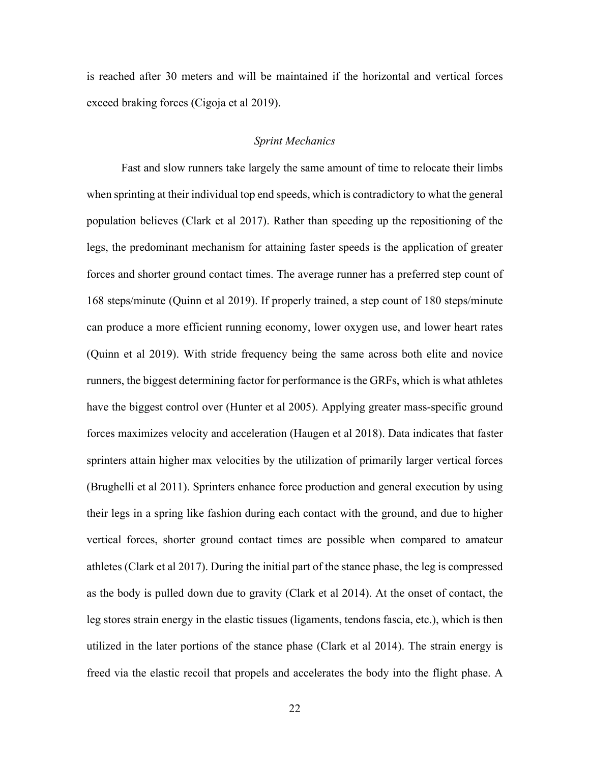is reached after 30 meters and will be maintained if the horizontal and vertical forces exceed braking forces (Cigoja et al 2019).

## *Sprint Mechanics*

Fast and slow runners take largely the same amount of time to relocate their limbs when sprinting at their individual top end speeds, which is contradictory to what the general population believes (Clark et al 2017). Rather than speeding up the repositioning of the legs, the predominant mechanism for attaining faster speeds is the application of greater forces and shorter ground contact times. The average runner has a preferred step count of 168 steps/minute (Quinn et al 2019). If properly trained, a step count of 180 steps/minute can produce a more efficient running economy, lower oxygen use, and lower heart rates (Quinn et al 2019). With stride frequency being the same across both elite and novice runners, the biggest determining factor for performance is the GRFs, which is what athletes have the biggest control over (Hunter et al 2005). Applying greater mass-specific ground forces maximizes velocity and acceleration (Haugen et al 2018). Data indicates that faster sprinters attain higher max velocities by the utilization of primarily larger vertical forces (Brughelli et al 2011). Sprinters enhance force production and general execution by using their legs in a spring like fashion during each contact with the ground, and due to higher vertical forces, shorter ground contact times are possible when compared to amateur athletes (Clark et al 2017). During the initial part of the stance phase, the leg is compressed as the body is pulled down due to gravity (Clark et al 2014). At the onset of contact, the leg stores strain energy in the elastic tissues (ligaments, tendons fascia, etc.), which is then utilized in the later portions of the stance phase (Clark et al 2014). The strain energy is freed via the elastic recoil that propels and accelerates the body into the flight phase. A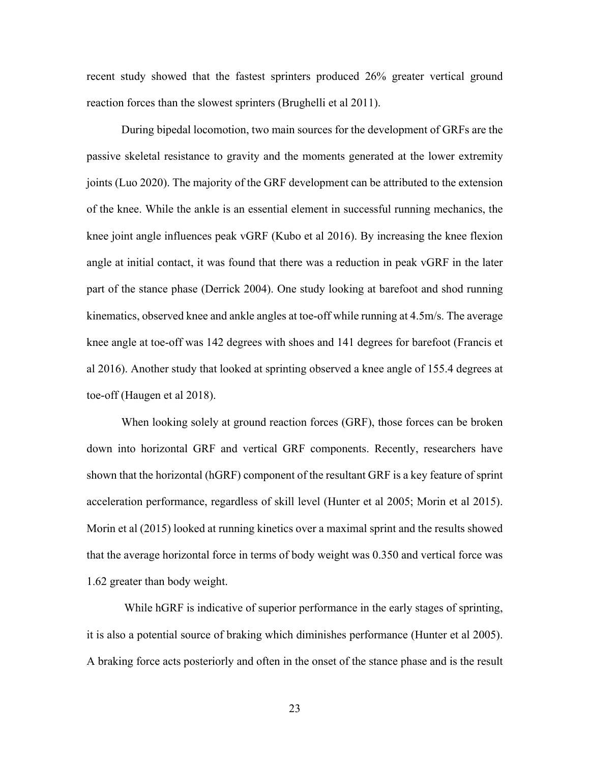recent study showed that the fastest sprinters produced 26% greater vertical ground reaction forces than the slowest sprinters (Brughelli et al 2011).

During bipedal locomotion, two main sources for the development of GRFs are the passive skeletal resistance to gravity and the moments generated at the lower extremity joints (Luo 2020). The majority of the GRF development can be attributed to the extension of the knee. While the ankle is an essential element in successful running mechanics, the knee joint angle influences peak vGRF (Kubo et al 2016). By increasing the knee flexion angle at initial contact, it was found that there was a reduction in peak vGRF in the later part of the stance phase (Derrick 2004). One study looking at barefoot and shod running kinematics, observed knee and ankle angles at toe-off while running at 4.5m/s. The average knee angle at toe-off was 142 degrees with shoes and 141 degrees for barefoot (Francis et al 2016). Another study that looked at sprinting observed a knee angle of 155.4 degrees at toe-off (Haugen et al 2018).

When looking solely at ground reaction forces (GRF), those forces can be broken down into horizontal GRF and vertical GRF components. Recently, researchers have shown that the horizontal (hGRF) component of the resultant GRF is a key feature of sprint acceleration performance, regardless of skill level (Hunter et al 2005; Morin et al 2015). Morin et al (2015) looked at running kinetics over a maximal sprint and the results showed that the average horizontal force in terms of body weight was 0.350 and vertical force was 1.62 greater than body weight.

 While hGRF is indicative of superior performance in the early stages of sprinting, it is also a potential source of braking which diminishes performance (Hunter et al 2005). A braking force acts posteriorly and often in the onset of the stance phase and is the result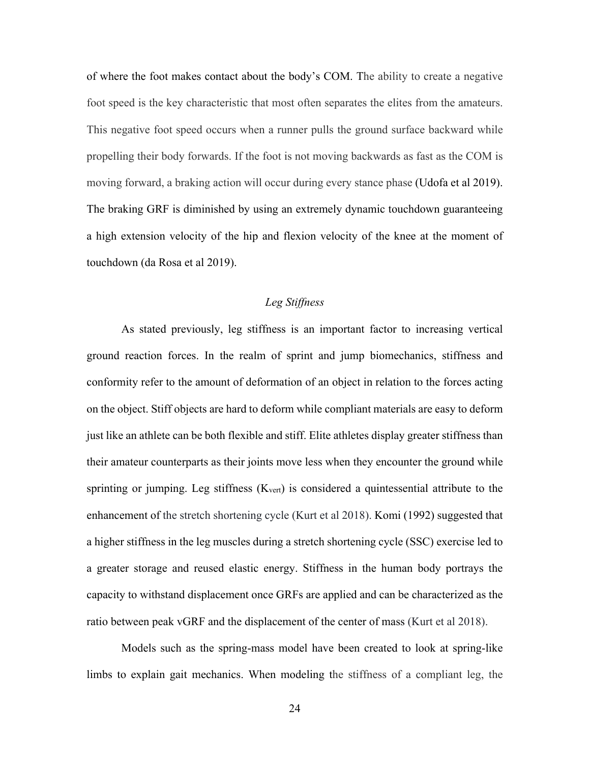of where the foot makes contact about the body's COM. The ability to create a negative foot speed is the key characteristic that most often separates the elites from the amateurs. This negative foot speed occurs when a runner pulls the ground surface backward while propelling their body forwards. If the foot is not moving backwards as fast as the COM is moving forward, a braking action will occur during every stance phase (Udofa et al 2019). The braking GRF is diminished by using an extremely dynamic touchdown guaranteeing a high extension velocity of the hip and flexion velocity of the knee at the moment of touchdown (da Rosa et al 2019).

## *Leg Stiffness*

As stated previously, leg stiffness is an important factor to increasing vertical ground reaction forces. In the realm of sprint and jump biomechanics, stiffness and conformity refer to the amount of deformation of an object in relation to the forces acting on the object. Stiff objects are hard to deform while compliant materials are easy to deform just like an athlete can be both flexible and stiff. Elite athletes display greater stiffness than their amateur counterparts as their joints move less when they encounter the ground while sprinting or jumping. Leg stiffness  $(K<sub>vert</sub>)$  is considered a quintessential attribute to the enhancement of the stretch shortening cycle (Kurt et al 2018). Komi (1992) suggested that a higher stiffness in the leg muscles during a stretch shortening cycle (SSC) exercise led to a greater storage and reused elastic energy. Stiffness in the human body portrays the capacity to withstand displacement once GRFs are applied and can be characterized as the ratio between peak vGRF and the displacement of the center of mass (Kurt et al 2018).

Models such as the spring-mass model have been created to look at spring-like limbs to explain gait mechanics. When modeling the stiffness of a compliant leg, the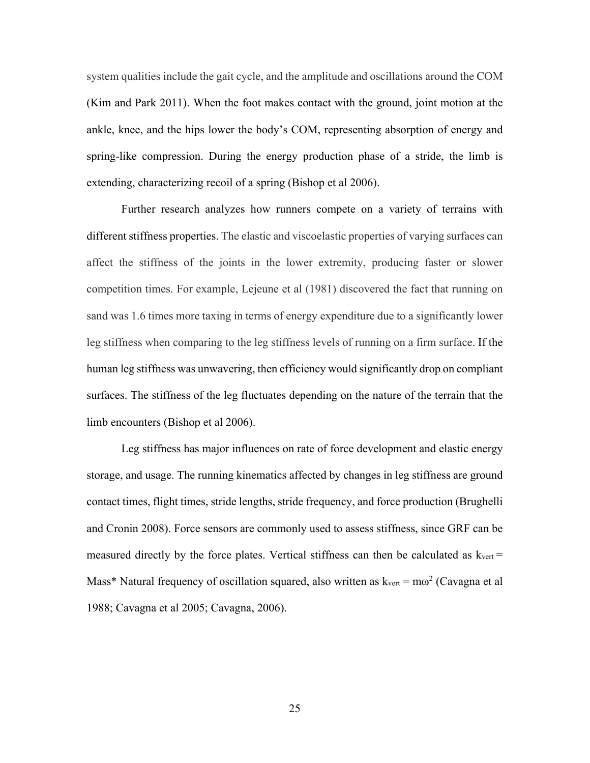system qualities include the gait cycle, and the amplitude and oscillations around the COM (Kim and Park 2011). When the foot makes contact with the ground, joint motion at the ankle, knee, and the hips lower the body's COM, representing absorption of energy and spring-like compression. During the energy production phase of a stride, the limb is extending, characterizing recoil of a spring (Bishop et al 2006).

Further research analyzes how runners compete on a variety of terrains with different stiffness properties. The elastic and viscoelastic properties of varying surfaces can affect the stiffness of the joints in the lower extremity, producing faster or slower competition times. For example, Lejeune et al (1981) discovered the fact that running on sand was 1.6 times more taxing in terms of energy expenditure due to a significantly lower leg stiffness when comparing to the leg stiffness levels of running on a firm surface. If the human leg stiffness was unwavering, then efficiency would significantly drop on compliant surfaces. The stiffness of the leg fluctuates depending on the nature of the terrain that the limb encounters (Bishop et al 2006).

Leg stiffness has major influences on rate of force development and elastic energy storage, and usage. The running kinematics affected by changes in leg stiffness are ground contact times, flight times, stride lengths, stride frequency, and force production (Brughelli and Cronin 2008). Force sensors are commonly used to assess stiffness, since GRF can be measured directly by the force plates. Vertical stiffness can then be calculated as  $k_{\text{vert}} =$ Mass\* Natural frequency of oscillation squared, also written as  $k_{\text{vert}} = m\omega^2$  (Cavagna et al 1988; Cavagna et al 2005; Cavagna, 2006).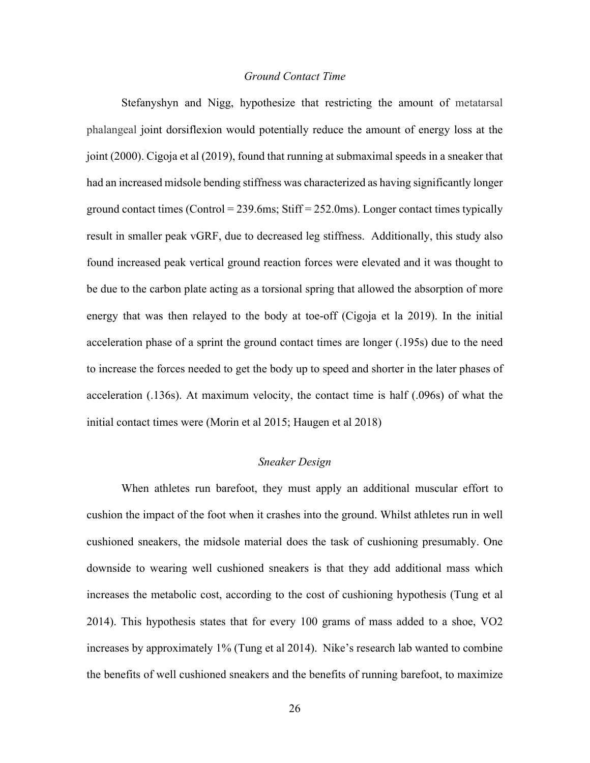### *Ground Contact Time*

 Stefanyshyn and Nigg, hypothesize that restricting the amount of metatarsal phalangeal joint dorsiflexion would potentially reduce the amount of energy loss at the joint (2000). Cigoja et al (2019), found that running at submaximal speeds in a sneaker that had an increased midsole bending stiffness was characterized as having significantly longer ground contact times (Control =  $239.6$ ms; Stiff =  $252.0$ ms). Longer contact times typically result in smaller peak vGRF, due to decreased leg stiffness. Additionally, this study also found increased peak vertical ground reaction forces were elevated and it was thought to be due to the carbon plate acting as a torsional spring that allowed the absorption of more energy that was then relayed to the body at toe-off (Cigoja et la 2019). In the initial acceleration phase of a sprint the ground contact times are longer (.195s) due to the need to increase the forces needed to get the body up to speed and shorter in the later phases of acceleration (.136s). At maximum velocity, the contact time is half (.096s) of what the initial contact times were (Morin et al 2015; Haugen et al 2018)

## *Sneaker Design*

 When athletes run barefoot, they must apply an additional muscular effort to cushion the impact of the foot when it crashes into the ground. Whilst athletes run in well cushioned sneakers, the midsole material does the task of cushioning presumably. One downside to wearing well cushioned sneakers is that they add additional mass which increases the metabolic cost, according to the cost of cushioning hypothesis (Tung et al 2014). This hypothesis states that for every 100 grams of mass added to a shoe, VO2 increases by approximately 1% (Tung et al 2014). Nike's research lab wanted to combine the benefits of well cushioned sneakers and the benefits of running barefoot, to maximize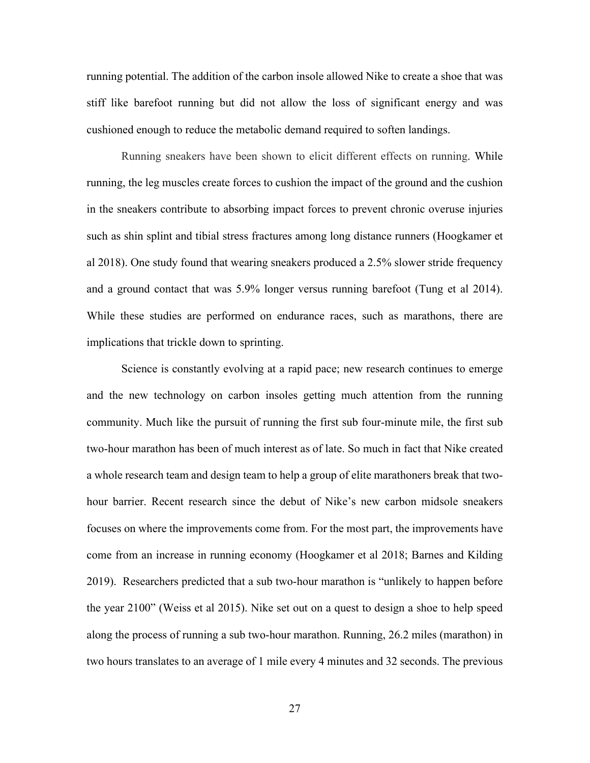running potential. The addition of the carbon insole allowed Nike to create a shoe that was stiff like barefoot running but did not allow the loss of significant energy and was cushioned enough to reduce the metabolic demand required to soften landings.

Running sneakers have been shown to elicit different effects on running. While running, the leg muscles create forces to cushion the impact of the ground and the cushion in the sneakers contribute to absorbing impact forces to prevent chronic overuse injuries such as shin splint and tibial stress fractures among long distance runners (Hoogkamer et al 2018). One study found that wearing sneakers produced a 2.5% slower stride frequency and a ground contact that was 5.9% longer versus running barefoot (Tung et al 2014). While these studies are performed on endurance races, such as marathons, there are implications that trickle down to sprinting.

Science is constantly evolving at a rapid pace; new research continues to emerge and the new technology on carbon insoles getting much attention from the running community. Much like the pursuit of running the first sub four-minute mile, the first sub two-hour marathon has been of much interest as of late. So much in fact that Nike created a whole research team and design team to help a group of elite marathoners break that twohour barrier. Recent research since the debut of Nike's new carbon midsole sneakers focuses on where the improvements come from. For the most part, the improvements have come from an increase in running economy (Hoogkamer et al 2018; Barnes and Kilding 2019). Researchers predicted that a sub two-hour marathon is "unlikely to happen before the year 2100" (Weiss et al 2015). Nike set out on a quest to design a shoe to help speed along the process of running a sub two-hour marathon. Running, 26.2 miles (marathon) in two hours translates to an average of 1 mile every 4 minutes and 32 seconds. The previous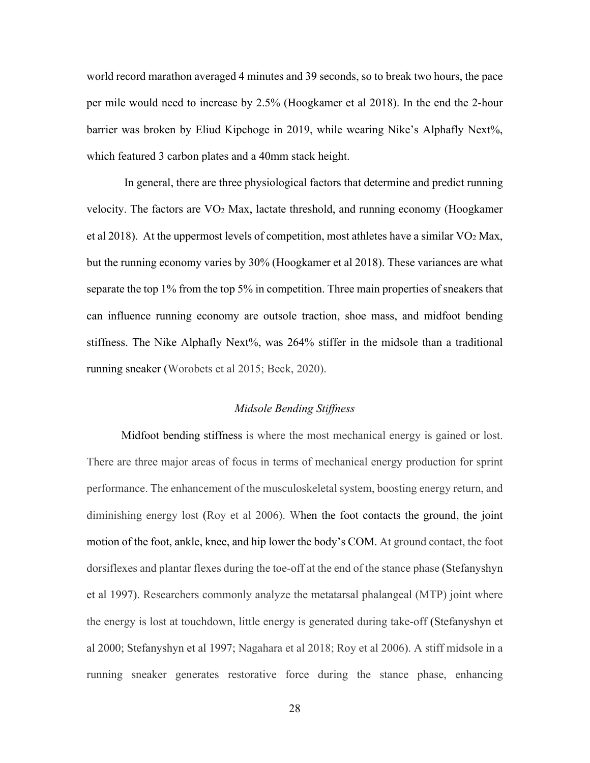world record marathon averaged 4 minutes and 39 seconds, so to break two hours, the pace per mile would need to increase by 2.5% (Hoogkamer et al 2018). In the end the 2-hour barrier was broken by Eliud Kipchoge in 2019, while wearing Nike's Alphafly Next%, which featured 3 carbon plates and a 40mm stack height.

 In general, there are three physiological factors that determine and predict running velocity. The factors are VO2 Max, lactate threshold, and running economy (Hoogkamer et al 2018). At the uppermost levels of competition, most athletes have a similar VO2 Max, but the running economy varies by 30% (Hoogkamer et al 2018). These variances are what separate the top 1% from the top 5% in competition. Three main properties of sneakers that can influence running economy are outsole traction, shoe mass, and midfoot bending stiffness. The Nike Alphafly Next%, was 264% stiffer in the midsole than a traditional running sneaker (Worobets et al 2015; Beck, 2020).

#### *Midsole Bending Stiffness*

Midfoot bending stiffness is where the most mechanical energy is gained or lost. There are three major areas of focus in terms of mechanical energy production for sprint performance. The enhancement of the musculoskeletal system, boosting energy return, and diminishing energy lost (Roy et al 2006). When the foot contacts the ground, the joint motion of the foot, ankle, knee, and hip lower the body's COM. At ground contact, the foot dorsiflexes and plantar flexes during the toe-off at the end of the stance phase (Stefanyshyn et al 1997). Researchers commonly analyze the metatarsal phalangeal (MTP) joint where the energy is lost at touchdown, little energy is generated during take-off (Stefanyshyn et al 2000; Stefanyshyn et al 1997; Nagahara et al 2018; Roy et al 2006). A stiff midsole in a running sneaker generates restorative force during the stance phase, enhancing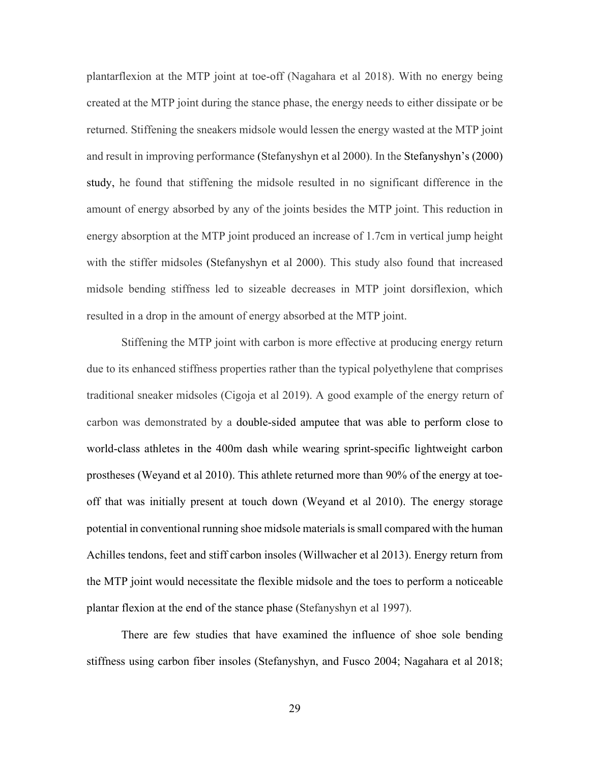plantarflexion at the MTP joint at toe-off (Nagahara et al 2018). With no energy being created at the MTP joint during the stance phase, the energy needs to either dissipate or be returned. Stiffening the sneakers midsole would lessen the energy wasted at the MTP joint and result in improving performance (Stefanyshyn et al 2000). In the Stefanyshyn's (2000) study, he found that stiffening the midsole resulted in no significant difference in the amount of energy absorbed by any of the joints besides the MTP joint. This reduction in energy absorption at the MTP joint produced an increase of 1.7cm in vertical jump height with the stiffer midsoles (Stefanyshyn et al 2000). This study also found that increased midsole bending stiffness led to sizeable decreases in MTP joint dorsiflexion, which resulted in a drop in the amount of energy absorbed at the MTP joint.

 Stiffening the MTP joint with carbon is more effective at producing energy return due to its enhanced stiffness properties rather than the typical polyethylene that comprises traditional sneaker midsoles (Cigoja et al 2019). A good example of the energy return of carbon was demonstrated by a double-sided amputee that was able to perform close to world-class athletes in the 400m dash while wearing sprint-specific lightweight carbon prostheses (Weyand et al 2010). This athlete returned more than 90% of the energy at toeoff that was initially present at touch down (Weyand et al 2010). The energy storage potential in conventional running shoe midsole materials is small compared with the human Achilles tendons, feet and stiff carbon insoles (Willwacher et al 2013). Energy return from the MTP joint would necessitate the flexible midsole and the toes to perform a noticeable plantar flexion at the end of the stance phase (Stefanyshyn et al 1997).

There are few studies that have examined the influence of shoe sole bending stiffness using carbon fiber insoles (Stefanyshyn, and Fusco 2004; Nagahara et al 2018;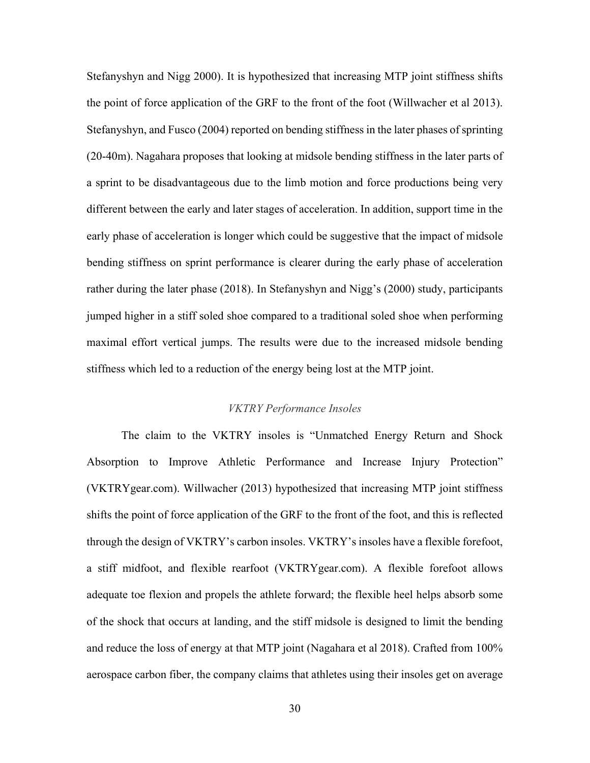Stefanyshyn and Nigg 2000). It is hypothesized that increasing MTP joint stiffness shifts the point of force application of the GRF to the front of the foot (Willwacher et al 2013). Stefanyshyn, and Fusco (2004) reported on bending stiffness in the later phases of sprinting (20-40m). Nagahara proposes that looking at midsole bending stiffness in the later parts of a sprint to be disadvantageous due to the limb motion and force productions being very different between the early and later stages of acceleration. In addition, support time in the early phase of acceleration is longer which could be suggestive that the impact of midsole bending stiffness on sprint performance is clearer during the early phase of acceleration rather during the later phase (2018). In Stefanyshyn and Nigg's (2000) study, participants jumped higher in a stiff soled shoe compared to a traditional soled shoe when performing maximal effort vertical jumps. The results were due to the increased midsole bending stiffness which led to a reduction of the energy being lost at the MTP joint.

## *VKTRY Performance Insoles*

The claim to the VKTRY insoles is "Unmatched Energy Return and Shock Absorption to Improve Athletic Performance and Increase Injury Protection" (VKTRYgear.com). Willwacher (2013) hypothesized that increasing MTP joint stiffness shifts the point of force application of the GRF to the front of the foot, and this is reflected through the design of VKTRY's carbon insoles. VKTRY's insoles have a flexible forefoot, a stiff midfoot, and flexible rearfoot (VKTRYgear.com). A flexible forefoot allows adequate toe flexion and propels the athlete forward; the flexible heel helps absorb some of the shock that occurs at landing, and the stiff midsole is designed to limit the bending and reduce the loss of energy at that MTP joint (Nagahara et al 2018). Crafted from 100% aerospace carbon fiber, the company claims that athletes using their insoles get on average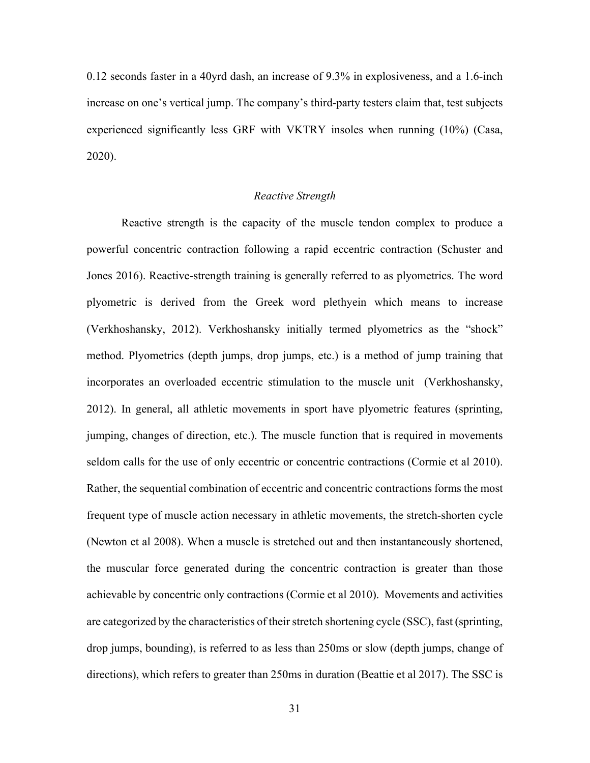0.12 seconds faster in a 40yrd dash, an increase of 9.3% in explosiveness, and a 1.6-inch increase on one's vertical jump. The company's third-party testers claim that, test subjects experienced significantly less GRF with VKTRY insoles when running (10%) (Casa, 2020).

## *Reactive Strength*

Reactive strength is the capacity of the muscle tendon complex to produce a powerful concentric contraction following a rapid eccentric contraction (Schuster and Jones 2016). Reactive-strength training is generally referred to as plyometrics. The word plyometric is derived from the Greek word plethyein which means to increase (Verkhoshansky, 2012). Verkhoshansky initially termed plyometrics as the "shock" method. Plyometrics (depth jumps, drop jumps, etc.) is a method of jump training that incorporates an overloaded eccentric stimulation to the muscle unit (Verkhoshansky, 2012). In general, all athletic movements in sport have plyometric features (sprinting, jumping, changes of direction, etc.). The muscle function that is required in movements seldom calls for the use of only eccentric or concentric contractions (Cormie et al 2010). Rather, the sequential combination of eccentric and concentric contractions forms the most frequent type of muscle action necessary in athletic movements, the stretch-shorten cycle (Newton et al 2008). When a muscle is stretched out and then instantaneously shortened, the muscular force generated during the concentric contraction is greater than those achievable by concentric only contractions (Cormie et al 2010). Movements and activities are categorized by the characteristics of their stretch shortening cycle (SSC), fast (sprinting, drop jumps, bounding), is referred to as less than 250ms or slow (depth jumps, change of directions), which refers to greater than 250ms in duration (Beattie et al 2017). The SSC is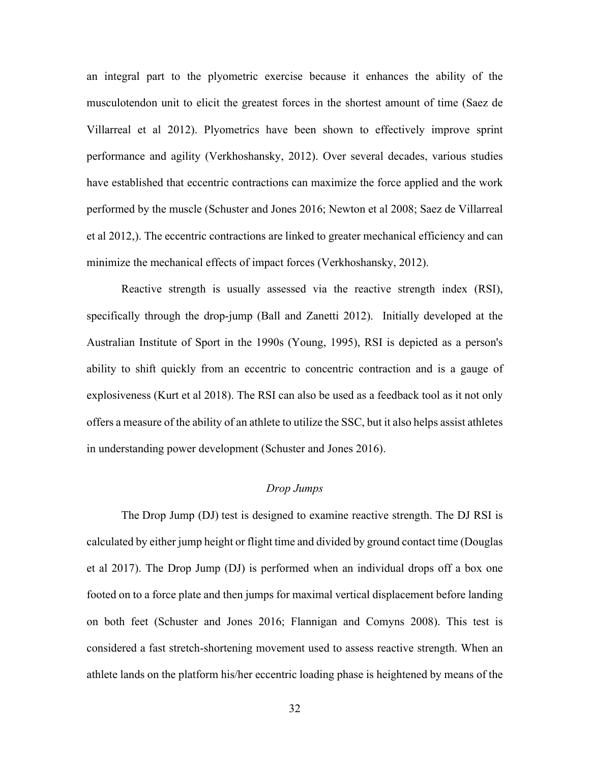an integral part to the plyometric exercise because it enhances the ability of the musculotendon unit to elicit the greatest forces in the shortest amount of time (Saez de Villarreal et al 2012). Plyometrics have been shown to effectively improve sprint performance and agility (Verkhoshansky, 2012). Over several decades, various studies have established that eccentric contractions can maximize the force applied and the work performed by the muscle (Schuster and Jones 2016; Newton et al 2008; Saez de Villarreal et al 2012,). The eccentric contractions are linked to greater mechanical efficiency and can minimize the mechanical effects of impact forces (Verkhoshansky, 2012).

Reactive strength is usually assessed via the reactive strength index (RSI), specifically through the drop-jump (Ball and Zanetti 2012). Initially developed at the Australian Institute of Sport in the 1990s (Young, 1995), RSI is depicted as a person's ability to shift quickly from an eccentric to concentric contraction and is a gauge of explosiveness (Kurt et al 2018). The RSI can also be used as a feedback tool as it not only offers a measure of the ability of an athlete to utilize the SSC, but it also helps assist athletes in understanding power development (Schuster and Jones 2016).

## *Drop Jumps*

The Drop Jump (DJ) test is designed to examine reactive strength. The DJ RSI is calculated by either jump height or flight time and divided by ground contact time (Douglas et al 2017). The Drop Jump (DJ) is performed when an individual drops off a box one footed on to a force plate and then jumps for maximal vertical displacement before landing on both feet (Schuster and Jones 2016; Flannigan and Comyns 2008). This test is considered a fast stretch-shortening movement used to assess reactive strength. When an athlete lands on the platform his/her eccentric loading phase is heightened by means of the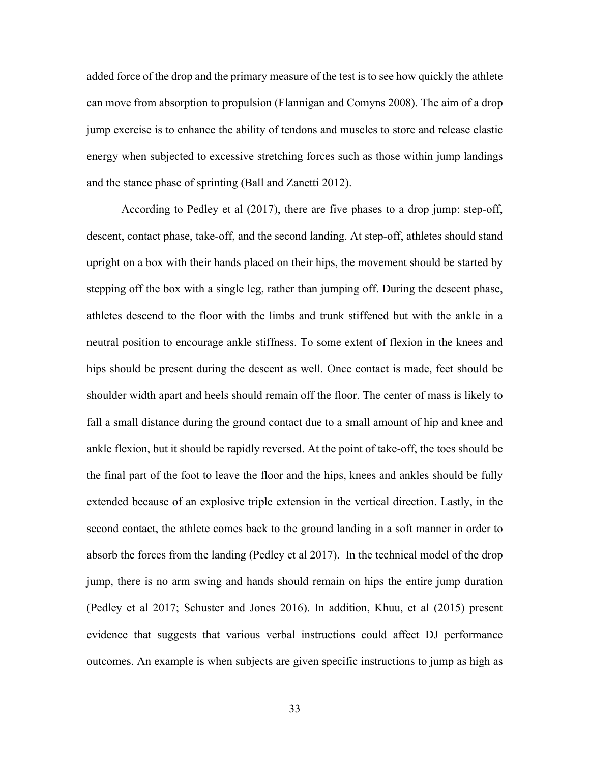added force of the drop and the primary measure of the test is to see how quickly the athlete can move from absorption to propulsion (Flannigan and Comyns 2008). The aim of a drop jump exercise is to enhance the ability of tendons and muscles to store and release elastic energy when subjected to excessive stretching forces such as those within jump landings and the stance phase of sprinting (Ball and Zanetti 2012).

According to Pedley et al (2017), there are five phases to a drop jump: step-off, descent, contact phase, take-off, and the second landing. At step-off, athletes should stand upright on a box with their hands placed on their hips, the movement should be started by stepping off the box with a single leg, rather than jumping off. During the descent phase, athletes descend to the floor with the limbs and trunk stiffened but with the ankle in a neutral position to encourage ankle stiffness. To some extent of flexion in the knees and hips should be present during the descent as well. Once contact is made, feet should be shoulder width apart and heels should remain off the floor. The center of mass is likely to fall a small distance during the ground contact due to a small amount of hip and knee and ankle flexion, but it should be rapidly reversed. At the point of take-off, the toes should be the final part of the foot to leave the floor and the hips, knees and ankles should be fully extended because of an explosive triple extension in the vertical direction. Lastly, in the second contact, the athlete comes back to the ground landing in a soft manner in order to absorb the forces from the landing (Pedley et al 2017). In the technical model of the drop jump, there is no arm swing and hands should remain on hips the entire jump duration (Pedley et al 2017; Schuster and Jones 2016). In addition, Khuu, et al (2015) present evidence that suggests that various verbal instructions could affect DJ performance outcomes. An example is when subjects are given specific instructions to jump as high as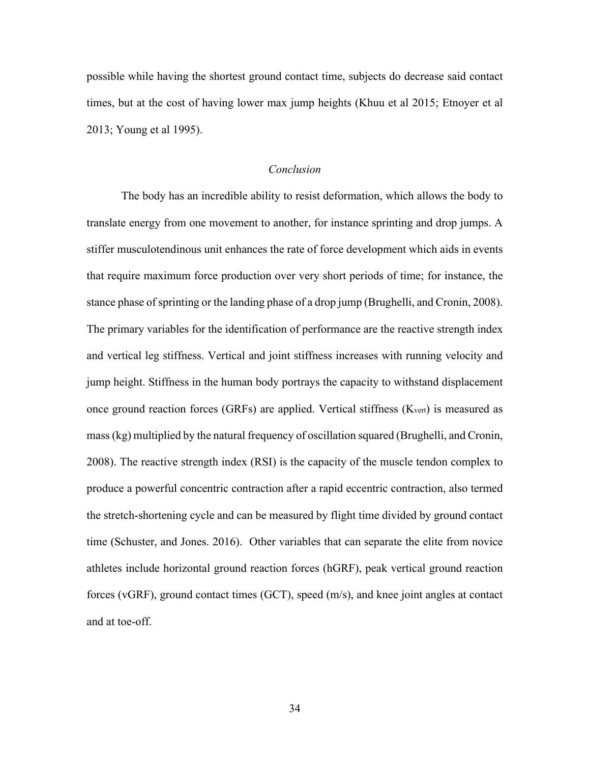possible while having the shortest ground contact time, subjects do decrease said contact times, but at the cost of having lower max jump heights (Khuu et al 2015; Etnoyer et al 2013; Young et al 1995).

## *Conclusion*

The body has an incredible ability to resist deformation, which allows the body to translate energy from one movement to another, for instance sprinting and drop jumps. A stiffer musculotendinous unit enhances the rate of force development which aids in events that require maximum force production over very short periods of time; for instance, the stance phase of sprinting or the landing phase of a drop jump (Brughelli, and Cronin, 2008). The primary variables for the identification of performance are the reactive strength index and vertical leg stiffness. Vertical and joint stiffness increases with running velocity and jump height. Stiffness in the human body portrays the capacity to withstand displacement once ground reaction forces (GRFs) are applied. Vertical stiffness  $(K<sub>vert</sub>)$  is measured as mass (kg) multiplied by the natural frequency of oscillation squared (Brughelli, and Cronin, 2008). The reactive strength index (RSI) is the capacity of the muscle tendon complex to produce a powerful concentric contraction after a rapid eccentric contraction, also termed the stretch-shortening cycle and can be measured by flight time divided by ground contact time (Schuster, and Jones. 2016). Other variables that can separate the elite from novice athletes include horizontal ground reaction forces (hGRF), peak vertical ground reaction forces (vGRF), ground contact times (GCT), speed (m/s), and knee joint angles at contact and at toe-off.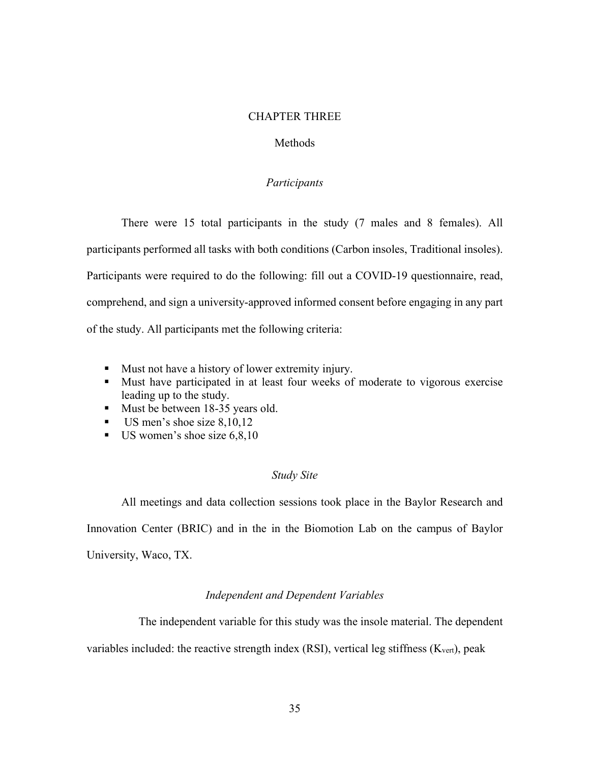### CHAPTER THREE

## Methods

## *Participants*

There were 15 total participants in the study (7 males and 8 females). All participants performed all tasks with both conditions (Carbon insoles, Traditional insoles). Participants were required to do the following: fill out a COVID-19 questionnaire, read, comprehend, and sign a university-approved informed consent before engaging in any part of the study. All participants met the following criteria:

- Must not have a history of lower extremity injury.
- Must have participated in at least four weeks of moderate to vigorous exercise leading up to the study.
- Must be between 18-35 years old.
- $\blacksquare$  US men's shoe size 8,10,12
- $\blacksquare$  US women's shoe size 6,8,10

#### *Study Site*

All meetings and data collection sessions took place in the Baylor Research and Innovation Center (BRIC) and in the in the Biomotion Lab on the campus of Baylor University, Waco, TX.

## *Independent and Dependent Variables*

The independent variable for this study was the insole material. The dependent

variables included: the reactive strength index (RSI), vertical leg stiffness ( $K_{\text{vert}}$ ), peak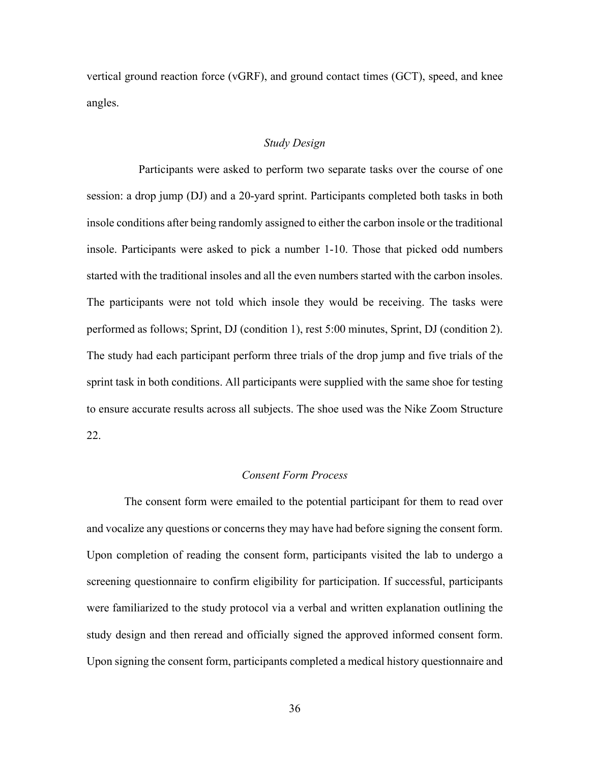vertical ground reaction force (vGRF), and ground contact times (GCT), speed, and knee angles.

## *Study Design*

 Participants were asked to perform two separate tasks over the course of one session: a drop jump (DJ) and a 20-yard sprint. Participants completed both tasks in both insole conditions after being randomly assigned to either the carbon insole or the traditional insole. Participants were asked to pick a number 1-10. Those that picked odd numbers started with the traditional insoles and all the even numbers started with the carbon insoles. The participants were not told which insole they would be receiving. The tasks were performed as follows; Sprint, DJ (condition 1), rest 5:00 minutes, Sprint, DJ (condition 2). The study had each participant perform three trials of the drop jump and five trials of the sprint task in both conditions. All participants were supplied with the same shoe for testing to ensure accurate results across all subjects. The shoe used was the Nike Zoom Structure 22.

## *Consent Form Process*

 The consent form were emailed to the potential participant for them to read over and vocalize any questions or concerns they may have had before signing the consent form. Upon completion of reading the consent form, participants visited the lab to undergo a screening questionnaire to confirm eligibility for participation. If successful, participants were familiarized to the study protocol via a verbal and written explanation outlining the study design and then reread and officially signed the approved informed consent form. Upon signing the consent form, participants completed a medical history questionnaire and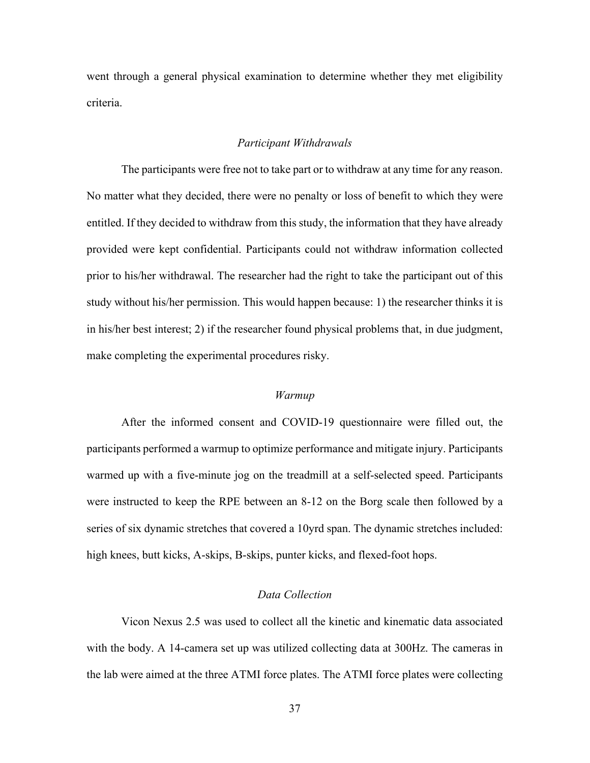went through a general physical examination to determine whether they met eligibility criteria.

#### *Participant Withdrawals*

 The participants were free not to take part or to withdraw at any time for any reason. No matter what they decided, there were no penalty or loss of benefit to which they were entitled. If they decided to withdraw from this study, the information that they have already provided were kept confidential. Participants could not withdraw information collected prior to his/her withdrawal. The researcher had the right to take the participant out of this study without his/her permission. This would happen because: 1) the researcher thinks it is in his/her best interest; 2) if the researcher found physical problems that, in due judgment, make completing the experimental procedures risky.

#### *Warmup*

 After the informed consent and COVID-19 questionnaire were filled out, the participants performed a warmup to optimize performance and mitigate injury. Participants warmed up with a five-minute jog on the treadmill at a self-selected speed. Participants were instructed to keep the RPE between an 8-12 on the Borg scale then followed by a series of six dynamic stretches that covered a 10yrd span. The dynamic stretches included: high knees, butt kicks, A-skips, B-skips, punter kicks, and flexed-foot hops.

## *Data Collection*

 Vicon Nexus 2.5 was used to collect all the kinetic and kinematic data associated with the body. A 14-camera set up was utilized collecting data at 300Hz. The cameras in the lab were aimed at the three ATMI force plates. The ATMI force plates were collecting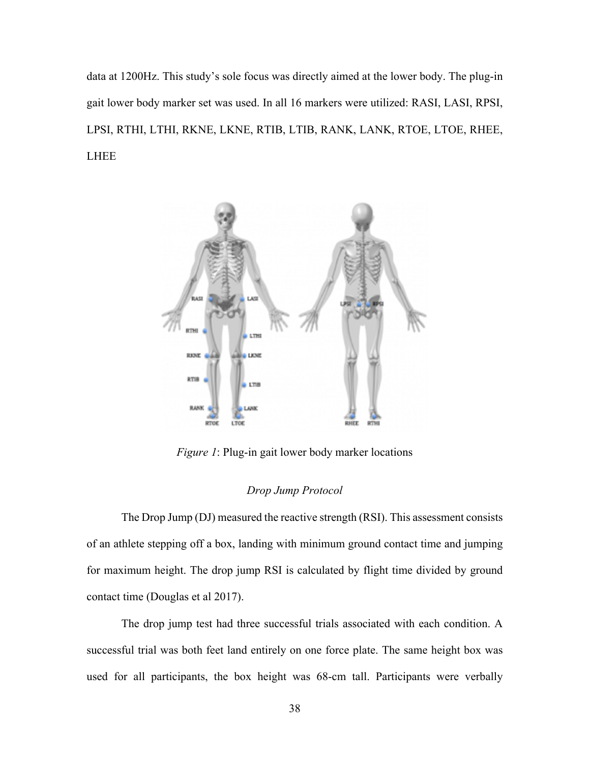data at 1200Hz. This study's sole focus was directly aimed at the lower body. The plug-in gait lower body marker set was used. In all 16 markers were utilized: RASI, LASI, RPSI, LPSI, RTHI, LTHI, RKNE, LKNE, RTIB, LTIB, RANK, LANK, RTOE, LTOE, RHEE, LHEE



*Figure 1*: Plug-in gait lower body marker locations

## *Drop Jump Protocol*

 The Drop Jump (DJ) measured the reactive strength (RSI). This assessment consists of an athlete stepping off a box, landing with minimum ground contact time and jumping for maximum height. The drop jump RSI is calculated by flight time divided by ground contact time (Douglas et al 2017).

 The drop jump test had three successful trials associated with each condition. A successful trial was both feet land entirely on one force plate. The same height box was used for all participants, the box height was 68-cm tall. Participants were verbally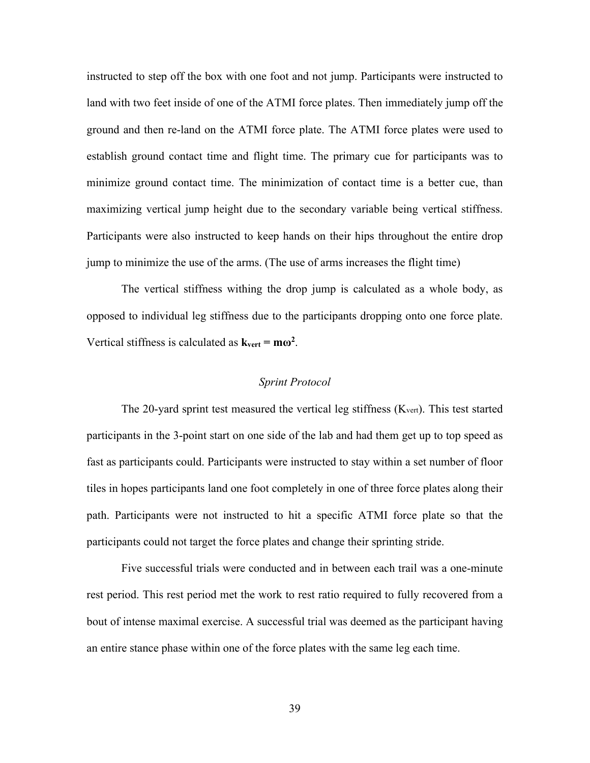instructed to step off the box with one foot and not jump. Participants were instructed to land with two feet inside of one of the ATMI force plates. Then immediately jump off the ground and then re-land on the ATMI force plate. The ATMI force plates were used to establish ground contact time and flight time. The primary cue for participants was to minimize ground contact time. The minimization of contact time is a better cue, than maximizing vertical jump height due to the secondary variable being vertical stiffness. Participants were also instructed to keep hands on their hips throughout the entire drop jump to minimize the use of the arms. (The use of arms increases the flight time)

 The vertical stiffness withing the drop jump is calculated as a whole body, as opposed to individual leg stiffness due to the participants dropping onto one force plate. Vertical stiffness is calculated as  $k_{vert} = m\omega^2$ .

## *Sprint Protocol*

The 20-yard sprint test measured the vertical leg stiffness (Kvert). This test started participants in the 3-point start on one side of the lab and had them get up to top speed as fast as participants could. Participants were instructed to stay within a set number of floor tiles in hopes participants land one foot completely in one of three force plates along their path. Participants were not instructed to hit a specific ATMI force plate so that the participants could not target the force plates and change their sprinting stride.

 Five successful trials were conducted and in between each trail was a one-minute rest period. This rest period met the work to rest ratio required to fully recovered from a bout of intense maximal exercise. A successful trial was deemed as the participant having an entire stance phase within one of the force plates with the same leg each time.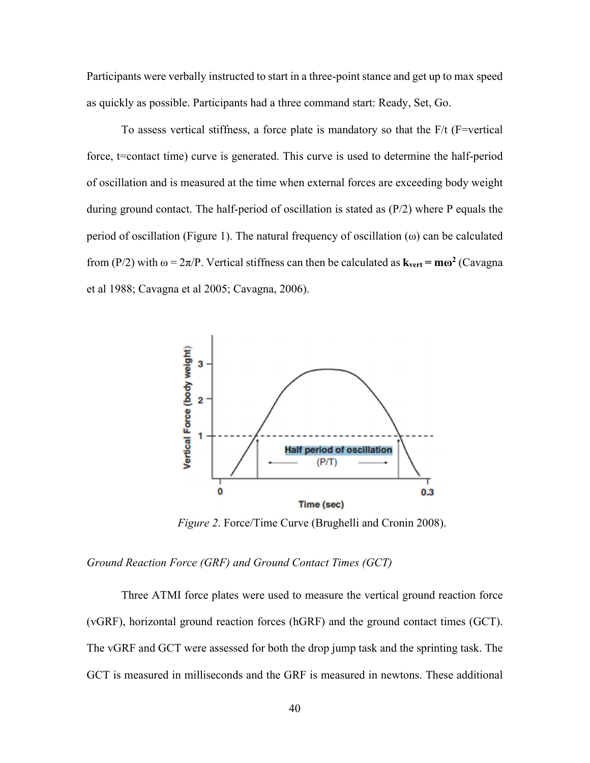Participants were verbally instructed to start in a three-point stance and get up to max speed as quickly as possible. Participants had a three command start: Ready, Set, Go.

To assess vertical stiffness, a force plate is mandatory so that the  $F/t$  (F=vertical force, t=contact time) curve is generated. This curve is used to determine the half-period of oscillation and is measured at the time when external forces are exceeding body weight during ground contact. The half-period of oscillation is stated as (P/2) where P equals the period of oscillation (Figure 1). The natural frequency of oscillation ( $\omega$ ) can be calculated from (P/2) with  $\omega = 2\pi/P$ . Vertical stiffness can then be calculated as  $\mathbf{k}_{\text{vert}} = \mathbf{m}\omega^2$  (Cavagna et al 1988; Cavagna et al 2005; Cavagna, 2006).



*Figure 2*. Force/Time Curve (Brughelli and Cronin 2008).

*Ground Reaction Force (GRF) and Ground Contact Times (GCT)* 

 Three ATMI force plates were used to measure the vertical ground reaction force (vGRF), horizontal ground reaction forces (hGRF) and the ground contact times (GCT). The vGRF and GCT were assessed for both the drop jump task and the sprinting task. The GCT is measured in milliseconds and the GRF is measured in newtons. These additional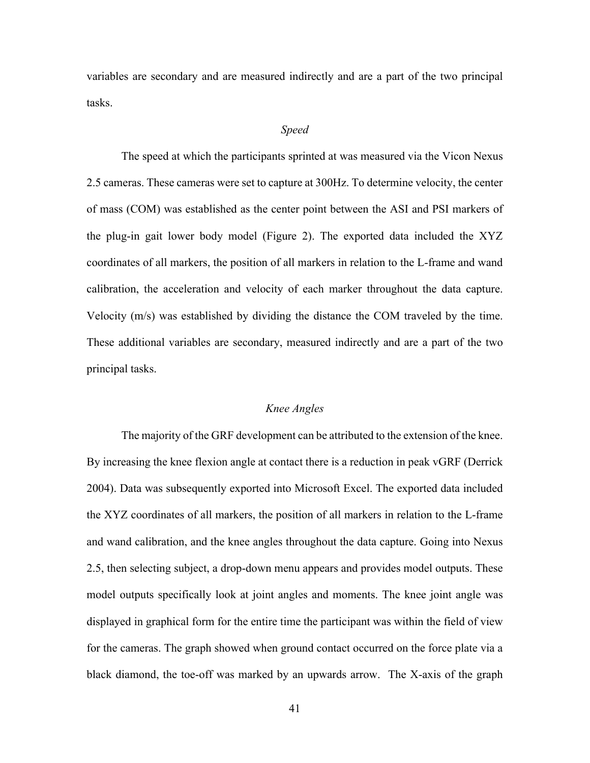variables are secondary and are measured indirectly and are a part of the two principal tasks.

### *Speed*

The speed at which the participants sprinted at was measured via the Vicon Nexus 2.5 cameras. These cameras were set to capture at 300Hz. To determine velocity, the center of mass (COM) was established as the center point between the ASI and PSI markers of the plug-in gait lower body model (Figure 2). The exported data included the XYZ coordinates of all markers, the position of all markers in relation to the L-frame and wand calibration, the acceleration and velocity of each marker throughout the data capture. Velocity (m/s) was established by dividing the distance the COM traveled by the time. These additional variables are secondary, measured indirectly and are a part of the two principal tasks.

## *Knee Angles*

 The majority of the GRF development can be attributed to the extension of the knee. By increasing the knee flexion angle at contact there is a reduction in peak vGRF (Derrick 2004). Data was subsequently exported into Microsoft Excel. The exported data included the XYZ coordinates of all markers, the position of all markers in relation to the L-frame and wand calibration, and the knee angles throughout the data capture. Going into Nexus 2.5, then selecting subject, a drop-down menu appears and provides model outputs. These model outputs specifically look at joint angles and moments. The knee joint angle was displayed in graphical form for the entire time the participant was within the field of view for the cameras. The graph showed when ground contact occurred on the force plate via a black diamond, the toe-off was marked by an upwards arrow. The X-axis of the graph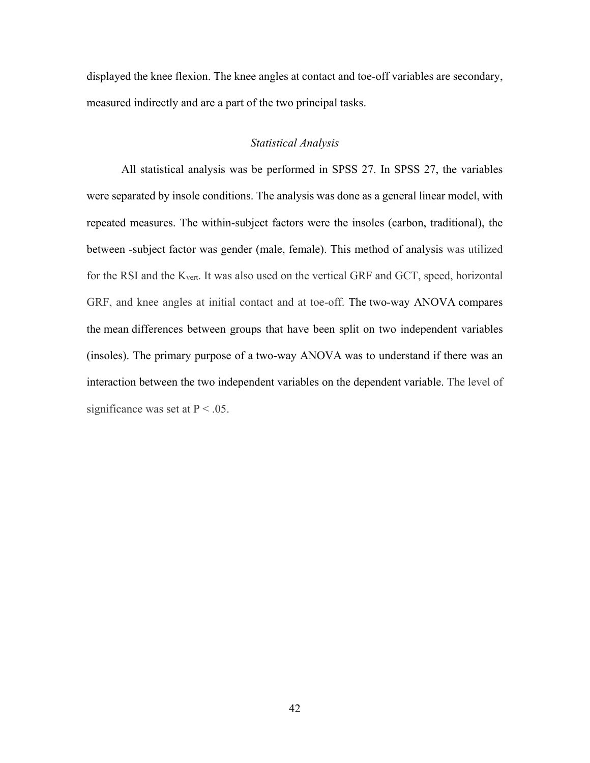displayed the knee flexion. The knee angles at contact and toe-off variables are secondary, measured indirectly and are a part of the two principal tasks.

## *Statistical Analysis*

 All statistical analysis was be performed in SPSS 27. In SPSS 27, the variables were separated by insole conditions. The analysis was done as a general linear model, with repeated measures. The within-subject factors were the insoles (carbon, traditional), the between -subject factor was gender (male, female). This method of analysis was utilized for the RSI and the Kvert. It was also used on the vertical GRF and GCT, speed, horizontal GRF, and knee angles at initial contact and at toe-off. The two-way ANOVA compares the mean differences between groups that have been split on two independent variables (insoles). The primary purpose of a two-way ANOVA was to understand if there was an interaction between the two independent variables on the dependent variable. The level of significance was set at  $P < .05$ .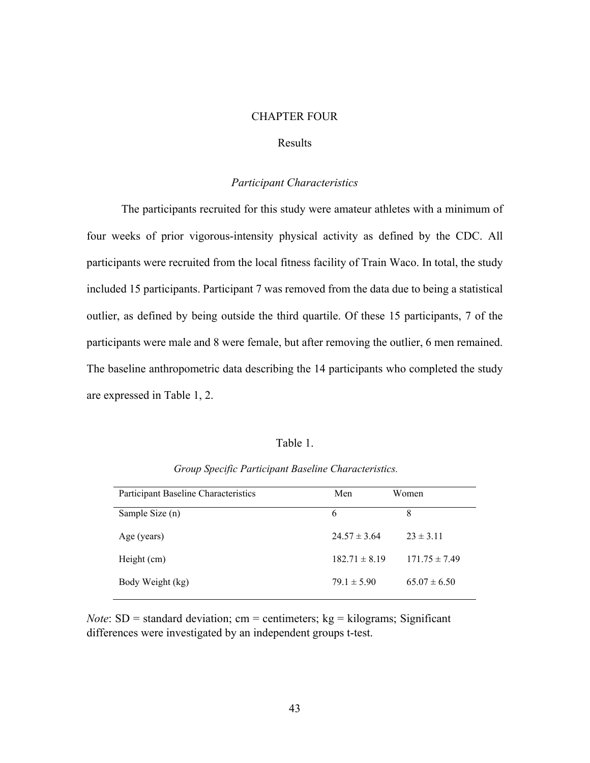#### CHAPTER FOUR

## Results

### *Participant Characteristics*

The participants recruited for this study were amateur athletes with a minimum of four weeks of prior vigorous-intensity physical activity as defined by the CDC. All participants were recruited from the local fitness facility of Train Waco. In total, the study included 15 participants. Participant 7 was removed from the data due to being a statistical outlier, as defined by being outside the third quartile. Of these 15 participants, 7 of the participants were male and 8 were female, but after removing the outlier, 6 men remained. The baseline anthropometric data describing the 14 participants who completed the study are expressed in Table 1, 2.

#### Table 1.

| Participant Baseline Characteristics | Men               | Women             |
|--------------------------------------|-------------------|-------------------|
| Sample Size (n)                      | 6                 | 8                 |
| Age (years)                          | $24.57 \pm 3.64$  | $23 \pm 3.11$     |
| Height (cm)                          | $182.71 \pm 8.19$ | $171.75 \pm 7.49$ |
| Body Weight (kg)                     | $79.1 \pm 5.90$   | $65.07 \pm 6.50$  |

*Group Specific Participant Baseline Characteristics.*

*Note*:  $SD =$  standard deviation; cm = centimeters;  $kg =$  kilograms; Significant differences were investigated by an independent groups t-test.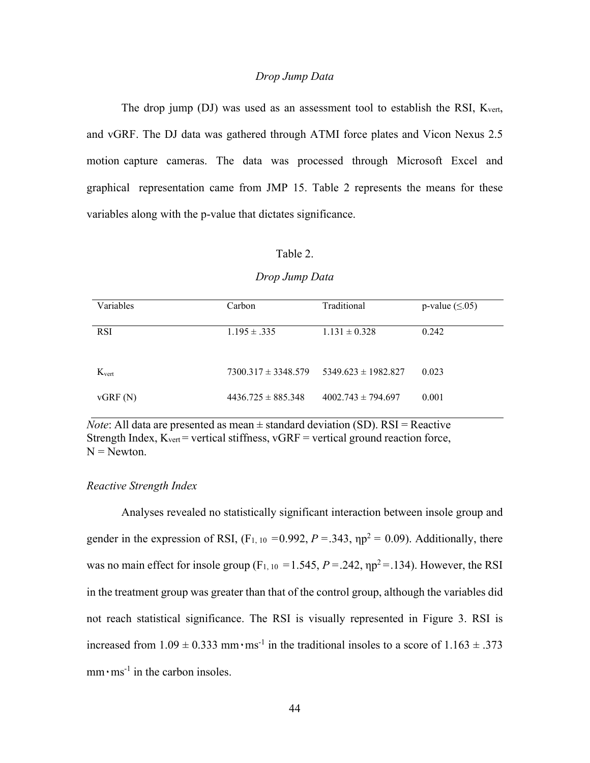## *Drop Jump Data*

The drop jump (DJ) was used as an assessment tool to establish the RSI, Kvert, and vGRF. The DJ data was gathered through ATMI force plates and Vicon Nexus 2.5 motion capture cameras. The data was processed through Microsoft Excel and graphical representation came from JMP 15. Table 2 represents the means for these variables along with the p-value that dictates significance.

## Table 2.

#### *Drop Jump Data*

| Variables         | Carbon                  | Traditional             | p-value $(\leq 0.05)$ |
|-------------------|-------------------------|-------------------------|-----------------------|
| <b>RSI</b>        | $1.195 \pm .335$        | $1.131 \pm 0.328$       | 0.242                 |
| $K_{\text{vert}}$ | $7300.317 \pm 3348.579$ | $5349.623 \pm 1982.827$ | 0.023                 |
| vGRF(N)           | $4436.725 \pm 885.348$  | $4002.743 \pm 794.697$  | 0.001                 |

*Note*: All data are presented as mean  $\pm$  standard deviation (SD). RSI = Reactive Strength Index,  $K_{\text{vert}}$  = vertical stiffness,  $vGRF$  = vertical ground reaction force,  $N =$  Newton.

#### *Reactive Strength Index*

Analyses revealed no statistically significant interaction between insole group and gender in the expression of RSI,  $(F_{1, 10} = 0.992, P = .343, \eta p^2 = 0.09)$ . Additionally, there was no main effect for insole group (F<sub>1, 10</sub> = 1.545,  $P = 0.242$ ,  $np^2 = 0.134$ ). However, the RSI in the treatment group was greater than that of the control group, although the variables did not reach statistical significance. The RSI is visually represented in Figure 3. RSI is increased from  $1.09 \pm 0.333$  mm $\cdot$ ms<sup>-1</sup> in the traditional insoles to a score of  $1.163 \pm .373$  $mm \cdot ms^{-1}$  in the carbon insoles.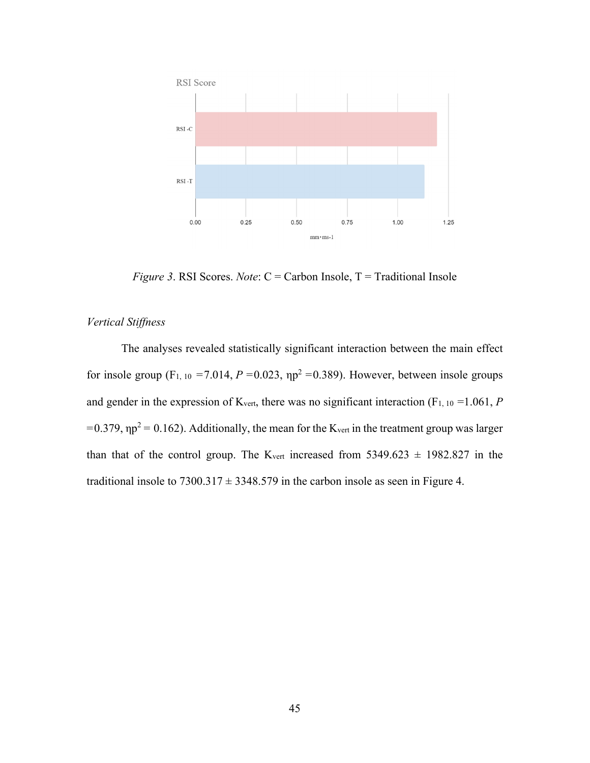

*Figure 3*. RSI Scores. *Note*: C = Carbon Insole, T = Traditional Insole

## *Vertical Stiffness*

The analyses revealed statistically significant interaction between the main effect for insole group  $(F_1, 10 = 7.014, P = 0.023, \eta p^2 = 0.389)$ . However, between insole groups and gender in the expression of  $K_{\text{vert}}$ , there was no significant interaction (F<sub>1, 10</sub> = 1.061, *P*  $= 0.379$ ,  $\eta p^2 = 0.162$ ). Additionally, the mean for the K<sub>vert</sub> in the treatment group was larger than that of the control group. The K<sub>vert</sub> increased from  $5349.623 \pm 1982.827$  in the traditional insole to  $7300.317 \pm 3348.579$  in the carbon insole as seen in Figure 4.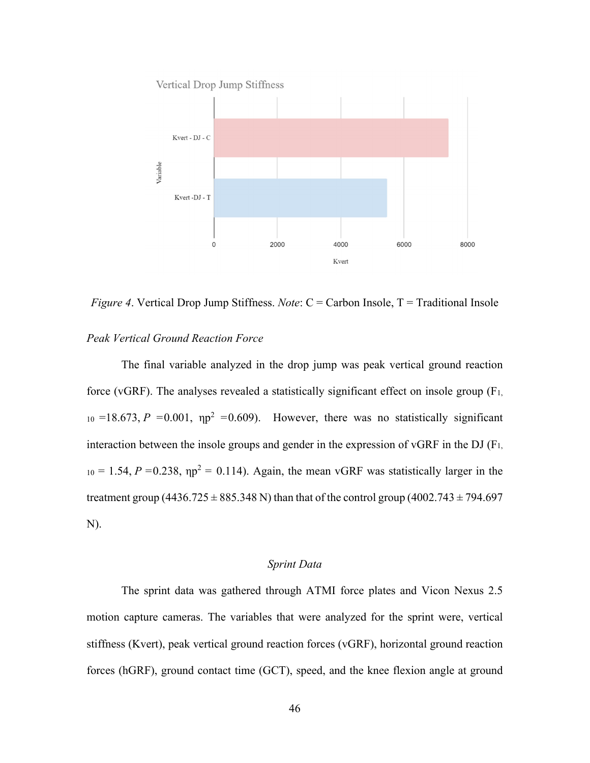

*Figure 4.* Vertical Drop Jump Stiffness. *Note*: C = Carbon Insole, T = Traditional Insole

### *Peak Vertical Ground Reaction Force*

The final variable analyzed in the drop jump was peak vertical ground reaction force (vGRF). The analyses revealed a statistically significant effect on insole group  $(F_1)$ ,  $_{10}$  =18.673, *P* =0.001,  $np^2$  =0.609). However, there was no statistically significant interaction between the insole groups and gender in the expression of vGRF in the DJ  $(F<sub>1</sub>,$  $10 = 1.54$ ,  $P = 0.238$ ,  $np^2 = 0.114$ ). Again, the mean vGRF was statistically larger in the treatment group (4436.725  $\pm$  885.348 N) than that of the control group (4002.743  $\pm$  794.697 N).

## *Sprint Data*

The sprint data was gathered through ATMI force plates and Vicon Nexus 2.5 motion capture cameras. The variables that were analyzed for the sprint were, vertical stiffness (Kvert), peak vertical ground reaction forces (vGRF), horizontal ground reaction forces (hGRF), ground contact time (GCT), speed, and the knee flexion angle at ground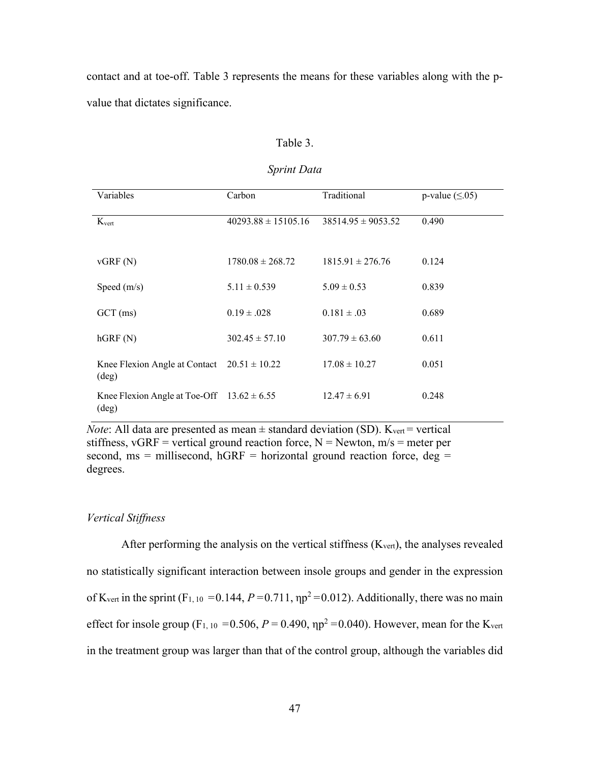contact and at toe-off. Table 3 represents the means for these variables along with the pvalue that dictates significance.

### Table 3.

#### *Sprint Data*

| Variables                                                         | Carbon                  | Traditional            | p-value $(\leq 0.05)$ |
|-------------------------------------------------------------------|-------------------------|------------------------|-----------------------|
| $K_{\text{vert}}$                                                 | $40293.88 \pm 15105.16$ | $38514.95 \pm 9053.52$ | 0.490                 |
| vGRF(N)                                                           | $1780.08 \pm 268.72$    | $1815.91 \pm 276.76$   | 0.124                 |
| Speed $(m/s)$                                                     | $5.11 \pm 0.539$        | $5.09 \pm 0.53$        | 0.839                 |
| $GCT$ (ms)                                                        | $0.19 \pm .028$         | $0.181 \pm .03$        | 0.689                 |
| hGRF(N)                                                           | $302.45 \pm 57.10$      | $307.79 \pm 63.60$     | 0.611                 |
| Knee Flexion Angle at Contact $20.51 \pm 10.22$<br>$(\text{deg})$ |                         | $17.08 \pm 10.27$      | 0.051                 |
| Knee Flexion Angle at Toe-Off $13.62 \pm 6.55$<br>(deg)           |                         | $12.47 \pm 6.91$       | 0.248                 |

*Note*: All data are presented as mean  $\pm$  standard deviation (SD). K<sub>vert</sub> = vertical stiffness, vGRF = vertical ground reaction force,  $N =$  Newton,  $m/s =$  meter per second, ms = millisecond, hGRF = horizontal ground reaction force,  $deg =$ degrees.

#### *Vertical Stiffness*

After performing the analysis on the vertical stiffness  $(K_{\text{vert}})$ , the analyses revealed no statistically significant interaction between insole groups and gender in the expression of K<sub>vert</sub> in the sprint (F<sub>1, 10</sub> = 0.144,  $P = 0.711$ ,  $\eta p^2 = 0.012$ ). Additionally, there was no main effect for insole group (F<sub>1, 10</sub> = 0.506,  $P = 0.490$ ,  $np^2 = 0.040$ ). However, mean for the K<sub>vert</sub> in the treatment group was larger than that of the control group, although the variables did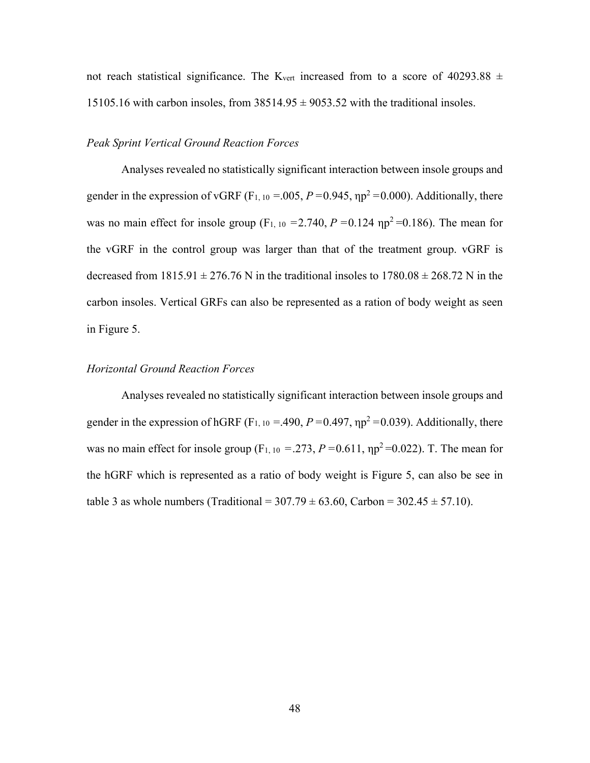not reach statistical significance. The K<sub>vert</sub> increased from to a score of 40293.88  $\pm$ 15105.16 with carbon insoles, from  $38514.95 \pm 9053.52$  with the traditional insoles.

## *Peak Sprint Vertical Ground Reaction Forces*

Analyses revealed no statistically significant interaction between insole groups and gender in the expression of vGRF ( $F_{1,10} = 0.005$ ,  $P = 0.945$ ,  $np^2 = 0.000$ ). Additionally, there was no main effect for insole group (F<sub>1, 10</sub> = 2.740,  $P = 0.124$  np<sup>2</sup> = 0.186). The mean for the vGRF in the control group was larger than that of the treatment group. vGRF is decreased from  $1815.91 \pm 276.76$  N in the traditional insoles to  $1780.08 \pm 268.72$  N in the carbon insoles. Vertical GRFs can also be represented as a ration of body weight as seen in Figure 5.

## *Horizontal Ground Reaction Forces*

Analyses revealed no statistically significant interaction between insole groups and gender in the expression of hGRF ( $F_{1,10} = 0.490$ ,  $P = 0.497$ ,  $np^2 = 0.039$ ). Additionally, there was no main effect for insole group (F<sub>1, 10</sub> = .273,  $P = 0.611$ ,  $np^2 = 0.022$ ). T. The mean for the hGRF which is represented as a ratio of body weight is Figure 5, can also be see in table 3 as whole numbers (Traditional =  $307.79 \pm 63.60$ , Carbon =  $302.45 \pm 57.10$ ).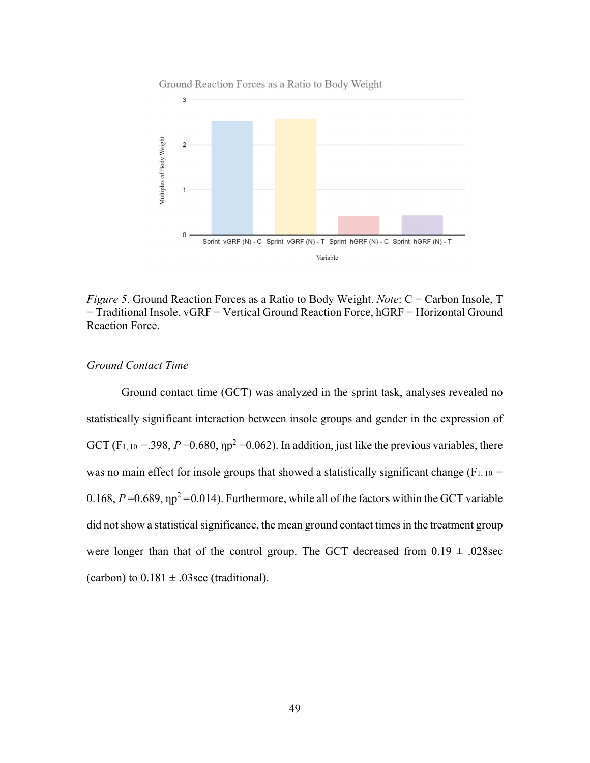



*Figure 5*. Ground Reaction Forces as a Ratio to Body Weight. *Note*: C = Carbon Insole, T = Traditional Insole, vGRF = Vertical Ground Reaction Force, hGRF = Horizontal Ground Reaction Force.

## *Ground Contact Time*

Ground contact time (GCT) was analyzed in the sprint task, analyses revealed no statistically significant interaction between insole groups and gender in the expression of GCT (F<sub>1, 10</sub> = .398,  $P = 0.680$ ,  $\eta p^2 = 0.062$ ). In addition, just like the previous variables, there was no main effect for insole groups that showed a statistically significant change ( $F_{1, 10}$  = 0.168,  $P = 0.689$ ,  $\eta p^2 = 0.014$ ). Furthermore, while all of the factors within the GCT variable did not show a statistical significance, the mean ground contact times in the treatment group were longer than that of the control group. The GCT decreased from  $0.19 \pm .028$ sec (carbon) to  $0.181 \pm .03$  sec (traditional).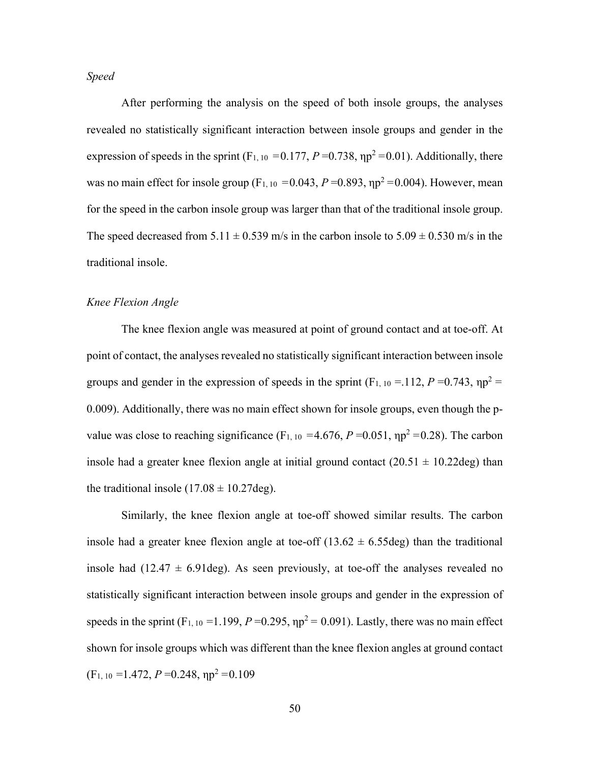*Speed* 

After performing the analysis on the speed of both insole groups, the analyses revealed no statistically significant interaction between insole groups and gender in the expression of speeds in the sprint  $(F_{1,10} = 0.177, P = 0.738, \eta p^2 = 0.01)$ . Additionally, there was no main effect for insole group ( $F_{1,10} = 0.043$ ,  $P = 0.893$ ,  $np^2 = 0.004$ ). However, mean for the speed in the carbon insole group was larger than that of the traditional insole group. The speed decreased from  $5.11 \pm 0.539$  m/s in the carbon insole to  $5.09 \pm 0.530$  m/s in the traditional insole.

## *Knee Flexion Angle*

The knee flexion angle was measured at point of ground contact and at toe-off. At point of contact, the analyses revealed no statistically significant interaction between insole groups and gender in the expression of speeds in the sprint  $(F_{1, 10} = 112, P = 0.743, \eta p^2 =$ 0.009). Additionally, there was no main effect shown for insole groups, even though the pvalue was close to reaching significance  $(F_{1, 10} = 4.676, P = 0.051, \eta p^2 = 0.28)$ . The carbon insole had a greater knee flexion angle at initial ground contact  $(20.51 \pm 10.22$ deg) than the traditional insole  $(17.08 \pm 10.27 \text{deg})$ .

 Similarly, the knee flexion angle at toe-off showed similar results. The carbon insole had a greater knee flexion angle at toe-off  $(13.62 \pm 6.55 \text{deg})$  than the traditional insole had  $(12.47 \pm 6.91 \text{deg})$ . As seen previously, at toe-off the analyses revealed no statistically significant interaction between insole groups and gender in the expression of speeds in the sprint  $(F_{1,10} = 1.199, P = 0.295, \eta p^2 = 0.091)$ . Lastly, there was no main effect shown for insole groups which was different than the knee flexion angles at ground contact  $(F<sub>1</sub>, 10 = 1.472, P = 0.248, \eta p^2 = 0.109$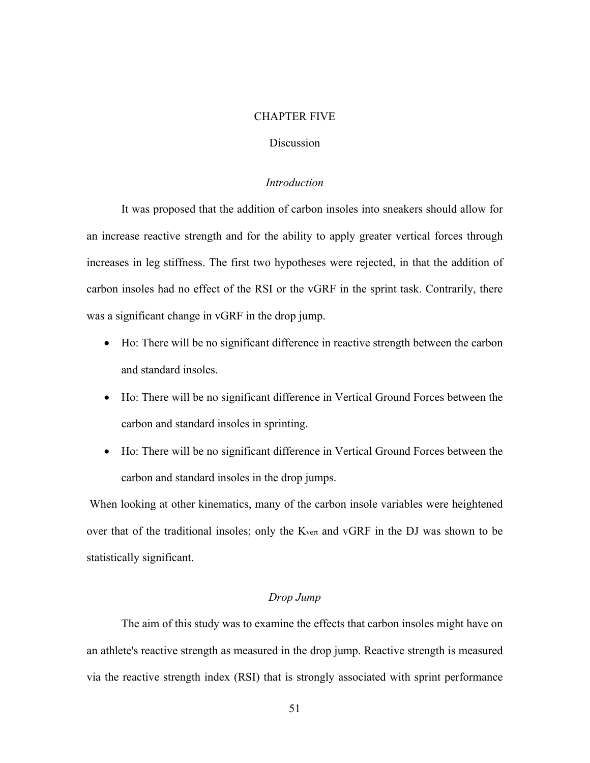#### CHAPTER FIVE

## Discussion

## *Introduction*

It was proposed that the addition of carbon insoles into sneakers should allow for an increase reactive strength and for the ability to apply greater vertical forces through increases in leg stiffness. The first two hypotheses were rejected, in that the addition of carbon insoles had no effect of the RSI or the vGRF in the sprint task. Contrarily, there was a significant change in vGRF in the drop jump.

- Ho: There will be no significant difference in reactive strength between the carbon and standard insoles.
- Ho: There will be no significant difference in Vertical Ground Forces between the carbon and standard insoles in sprinting.
- Ho: There will be no significant difference in Vertical Ground Forces between the carbon and standard insoles in the drop jumps.

 When looking at other kinematics, many of the carbon insole variables were heightened over that of the traditional insoles; only the Kvert and vGRF in the DJ was shown to be statistically significant.

### *Drop Jump*

The aim of this study was to examine the effects that carbon insoles might have on an athlete's reactive strength as measured in the drop jump. Reactive strength is measured via the reactive strength index (RSI) that is strongly associated with sprint performance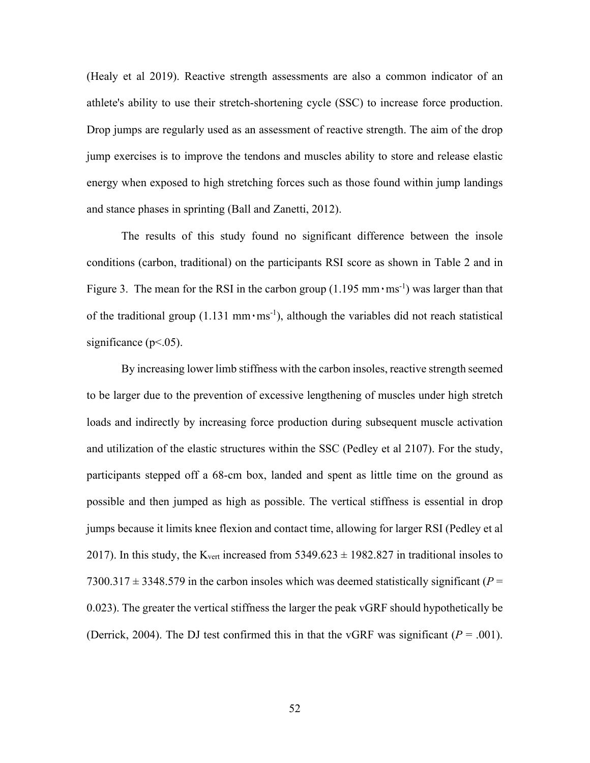(Healy et al 2019). Reactive strength assessments are also a common indicator of an athlete's ability to use their stretch-shortening cycle (SSC) to increase force production. Drop jumps are regularly used as an assessment of reactive strength. The aim of the drop jump exercises is to improve the tendons and muscles ability to store and release elastic energy when exposed to high stretching forces such as those found within jump landings and stance phases in sprinting (Ball and Zanetti, 2012).

The results of this study found no significant difference between the insole conditions (carbon, traditional) on the participants RSI score as shown in Table 2 and in Figure 3. The mean for the RSI in the carbon group  $(1.195 \text{ mm} \cdot \text{ms}^{-1})$  was larger than that of the traditional group  $(1.131 \text{ mm} \cdot \text{ms}^{-1})$ , although the variables did not reach statistical significance ( $p<0.05$ ).

By increasing lower limb stiffness with the carbon insoles, reactive strength seemed to be larger due to the prevention of excessive lengthening of muscles under high stretch loads and indirectly by increasing force production during subsequent muscle activation and utilization of the elastic structures within the SSC (Pedley et al 2107). For the study, participants stepped off a 68-cm box, landed and spent as little time on the ground as possible and then jumped as high as possible. The vertical stiffness is essential in drop jumps because it limits knee flexion and contact time, allowing for larger RSI (Pedley et al 2017). In this study, the K<sub>vert</sub> increased from  $5349.623 \pm 1982.827$  in traditional insoles to 7300.317  $\pm$  3348.579 in the carbon insoles which was deemed statistically significant ( $P =$ 0.023). The greater the vertical stiffness the larger the peak vGRF should hypothetically be (Derrick, 2004). The DJ test confirmed this in that the vGRF was significant  $(P = .001)$ .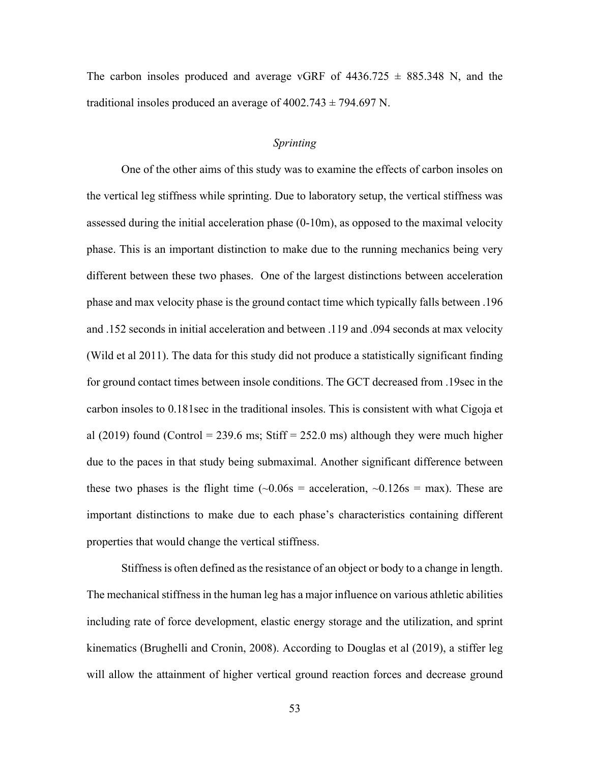The carbon insoles produced and average vGRF of  $4436.725 \pm 885.348$  N, and the traditional insoles produced an average of  $4002.743 \pm 794.697$  N.

## *Sprinting*

One of the other aims of this study was to examine the effects of carbon insoles on the vertical leg stiffness while sprinting. Due to laboratory setup, the vertical stiffness was assessed during the initial acceleration phase (0-10m), as opposed to the maximal velocity phase. This is an important distinction to make due to the running mechanics being very different between these two phases. One of the largest distinctions between acceleration phase and max velocity phase is the ground contact time which typically falls between .196 and .152 seconds in initial acceleration and between .119 and .094 seconds at max velocity (Wild et al 2011). The data for this study did not produce a statistically significant finding for ground contact times between insole conditions. The GCT decreased from .19sec in the carbon insoles to 0.181sec in the traditional insoles. This is consistent with what Cigoja et al (2019) found (Control = 239.6 ms; Stiff = 252.0 ms) although they were much higher due to the paces in that study being submaximal. Another significant difference between these two phases is the flight time  $(-0.06s = \text{acceleration}, -0.126s = \text{max})$ . These are important distinctions to make due to each phase's characteristics containing different properties that would change the vertical stiffness.

Stiffness is often defined as the resistance of an object or body to a change in length. The mechanical stiffness in the human leg has a major influence on various athletic abilities including rate of force development, elastic energy storage and the utilization, and sprint kinematics (Brughelli and Cronin, 2008). According to Douglas et al (2019), a stiffer leg will allow the attainment of higher vertical ground reaction forces and decrease ground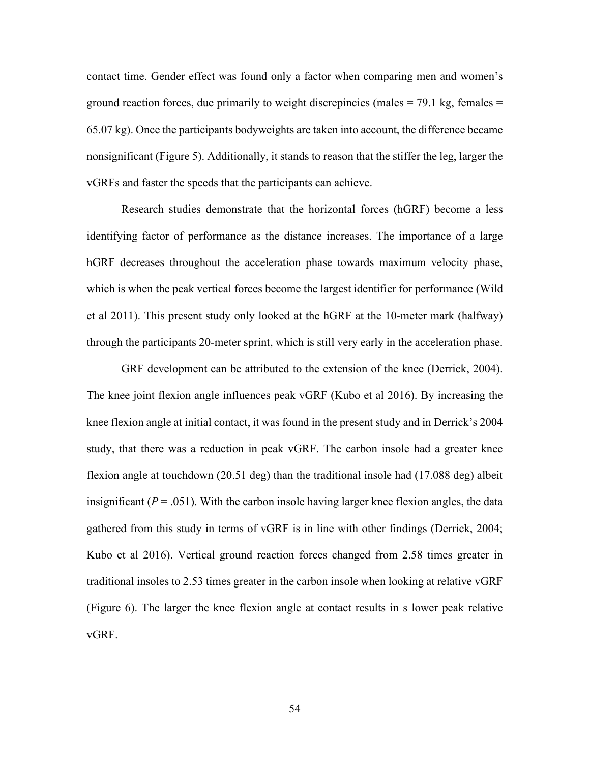contact time. Gender effect was found only a factor when comparing men and women's ground reaction forces, due primarily to weight discrepincies (males  $= 79.1$  kg, females  $=$ 65.07 kg). Once the participants bodyweights are taken into account, the difference became nonsignificant (Figure 5). Additionally, it stands to reason that the stiffer the leg, larger the vGRFs and faster the speeds that the participants can achieve.

 Research studies demonstrate that the horizontal forces (hGRF) become a less identifying factor of performance as the distance increases. The importance of a large hGRF decreases throughout the acceleration phase towards maximum velocity phase, which is when the peak vertical forces become the largest identifier for performance (Wild et al 2011). This present study only looked at the hGRF at the 10-meter mark (halfway) through the participants 20-meter sprint, which is still very early in the acceleration phase.

GRF development can be attributed to the extension of the knee (Derrick, 2004). The knee joint flexion angle influences peak vGRF (Kubo et al 2016). By increasing the knee flexion angle at initial contact, it was found in the present study and in Derrick's 2004 study, that there was a reduction in peak vGRF. The carbon insole had a greater knee flexion angle at touchdown (20.51 deg) than the traditional insole had (17.088 deg) albeit insignificant  $(P = .051)$ . With the carbon insole having larger knee flexion angles, the data gathered from this study in terms of vGRF is in line with other findings (Derrick, 2004; Kubo et al 2016). Vertical ground reaction forces changed from 2.58 times greater in traditional insoles to 2.53 times greater in the carbon insole when looking at relative vGRF (Figure 6). The larger the knee flexion angle at contact results in s lower peak relative vGRF.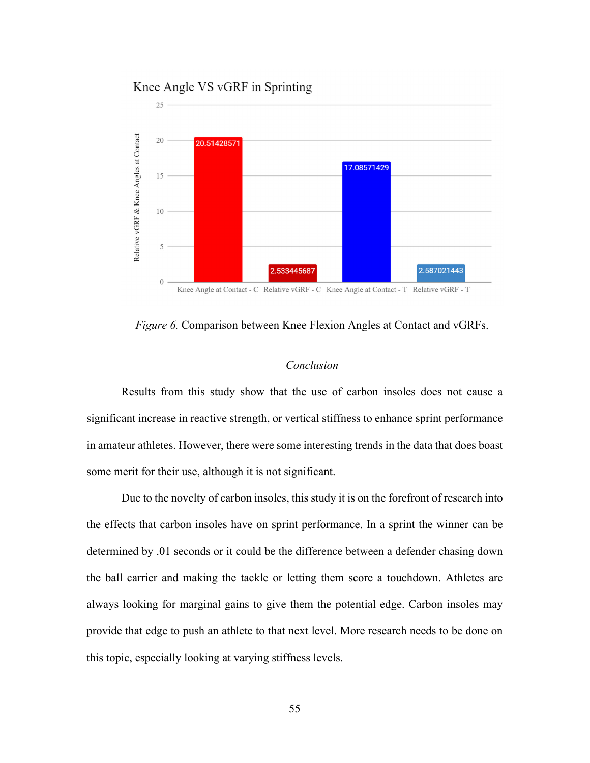## Knee Angle VS vGRF in Sprinting



*Figure 6.* Comparison between Knee Flexion Angles at Contact and vGRFs.

## *Conclusion*

Results from this study show that the use of carbon insoles does not cause a significant increase in reactive strength, or vertical stiffness to enhance sprint performance in amateur athletes. However, there were some interesting trends in the data that does boast some merit for their use, although it is not significant.

Due to the novelty of carbon insoles, this study it is on the forefront of research into the effects that carbon insoles have on sprint performance. In a sprint the winner can be determined by .01 seconds or it could be the difference between a defender chasing down the ball carrier and making the tackle or letting them score a touchdown. Athletes are always looking for marginal gains to give them the potential edge. Carbon insoles may provide that edge to push an athlete to that next level. More research needs to be done on this topic, especially looking at varying stiffness levels.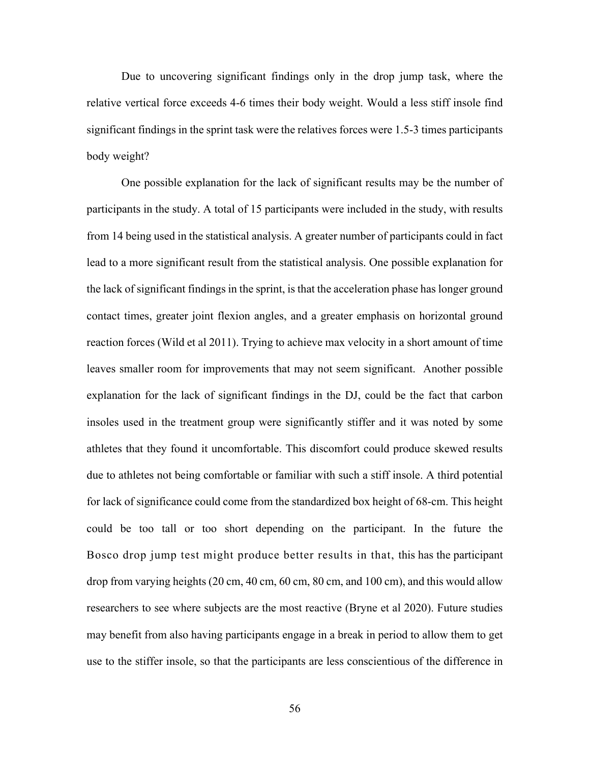Due to uncovering significant findings only in the drop jump task, where the relative vertical force exceeds 4-6 times their body weight. Would a less stiff insole find significant findings in the sprint task were the relatives forces were 1.5-3 times participants body weight?

One possible explanation for the lack of significant results may be the number of participants in the study. A total of 15 participants were included in the study, with results from 14 being used in the statistical analysis. A greater number of participants could in fact lead to a more significant result from the statistical analysis. One possible explanation for the lack of significant findings in the sprint, is that the acceleration phase has longer ground contact times, greater joint flexion angles, and a greater emphasis on horizontal ground reaction forces (Wild et al 2011). Trying to achieve max velocity in a short amount of time leaves smaller room for improvements that may not seem significant. Another possible explanation for the lack of significant findings in the DJ, could be the fact that carbon insoles used in the treatment group were significantly stiffer and it was noted by some athletes that they found it uncomfortable. This discomfort could produce skewed results due to athletes not being comfortable or familiar with such a stiff insole. A third potential for lack of significance could come from the standardized box height of 68-cm. This height could be too tall or too short depending on the participant. In the future the Bosco drop jump test might produce better results in that, this has the participant drop from varying heights (20 cm, 40 cm, 60 cm, 80 cm, and 100 cm), and this would allow researchers to see where subjects are the most reactive (Bryne et al 2020). Future studies may benefit from also having participants engage in a break in period to allow them to get use to the stiffer insole, so that the participants are less conscientious of the difference in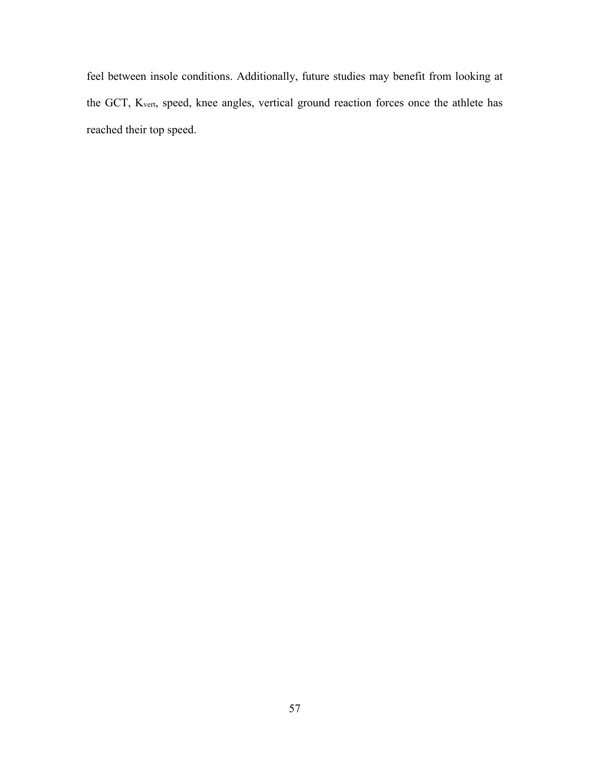feel between insole conditions. Additionally, future studies may benefit from looking at the GCT, Kvert, speed, knee angles, vertical ground reaction forces once the athlete has reached their top speed.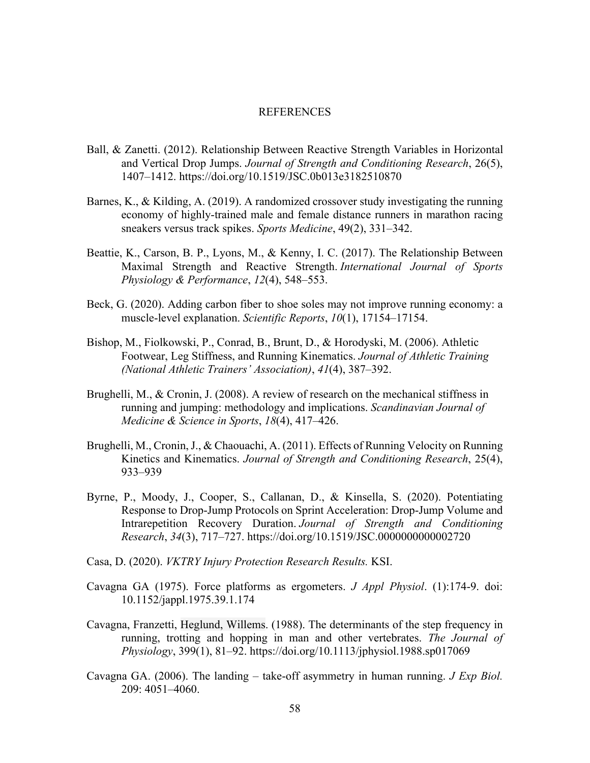#### REFERENCES

- Ball, & Zanetti. (2012). Relationship Between Reactive Strength Variables in Horizontal and Vertical Drop Jumps. *Journal of Strength and Conditioning Research*, 26(5), 1407–1412. https://doi.org/10.1519/JSC.0b013e3182510870
- Barnes, K., & Kilding, A. (2019). A randomized crossover study investigating the running economy of highly-trained male and female distance runners in marathon racing sneakers versus track spikes. *Sports Medicine*, 49(2), 331–342.
- Beattie, K., Carson, B. P., Lyons, M., & Kenny, I. C. (2017). The Relationship Between Maximal Strength and Reactive Strength. *International Journal of Sports Physiology & Performance*, *12*(4), 548–553.
- Beck, G. (2020). Adding carbon fiber to shoe soles may not improve running economy: a muscle-level explanation. *Scientific Reports*, *10*(1), 17154–17154.
- Bishop, M., Fiolkowski, P., Conrad, B., Brunt, D., & Horodyski, M. (2006). Athletic Footwear, Leg Stiffness, and Running Kinematics. *Journal of Athletic Training (National Athletic Trainers' Association)*, *41*(4), 387–392.
- Brughelli, M., & Cronin, J. (2008). A review of research on the mechanical stiffness in running and jumping: methodology and implications. *Scandinavian Journal of Medicine & Science in Sports*, *18*(4), 417–426.
- Brughelli, M., Cronin, J., & Chaouachi, A. (2011). Effects of Running Velocity on Running Kinetics and Kinematics. *Journal of Strength and Conditioning Research*, 25(4), 933–939
- Byrne, P., Moody, J., Cooper, S., Callanan, D., & Kinsella, S. (2020). Potentiating Response to Drop-Jump Protocols on Sprint Acceleration: Drop-Jump Volume and Intrarepetition Recovery Duration. *Journal of Strength and Conditioning Research*, *34*(3), 717–727. https://doi.org/10.1519/JSC.0000000000002720
- Casa, D. (2020). *VKTRY Injury Protection Research Results.* KSI.
- Cavagna GA (1975). Force platforms as ergometers. *J Appl Physiol*. (1):174-9. doi: 10.1152/jappl.1975.39.1.174
- Cavagna, Franzetti, Heglund, Willems. (1988). The determinants of the step frequency in running, trotting and hopping in man and other vertebrates. *The Journal of Physiology*, 399(1), 81–92. https://doi.org/10.1113/jphysiol.1988.sp017069
- Cavagna GA. (2006). The landing take-off asymmetry in human running. *J Exp Biol.* 209: 4051–4060.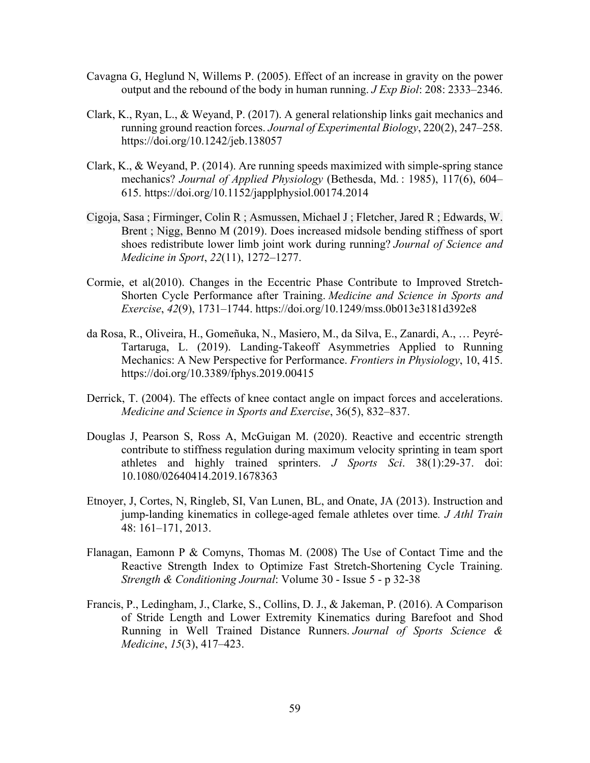- Cavagna G, Heglund N, Willems P. (2005). Effect of an increase in gravity on the power output and the rebound of the body in human running. *J Exp Biol*: 208: 2333–2346.
- Clark, K., Ryan, L., & Weyand, P. (2017). A general relationship links gait mechanics and running ground reaction forces. *Journal of Experimental Biology*, 220(2), 247–258. https://doi.org/10.1242/jeb.138057
- Clark, K., & Weyand, P. (2014). Are running speeds maximized with simple-spring stance mechanics? *Journal of Applied Physiology* (Bethesda, Md. : 1985), 117(6), 604– 615. https://doi.org/10.1152/japplphysiol.00174.2014
- Cigoja, Sasa ; Firminger, Colin R ; Asmussen, Michael J ; Fletcher, Jared R ; Edwards, W. Brent ; Nigg, Benno M (2019). Does increased midsole bending stiffness of sport shoes redistribute lower limb joint work during running? *Journal of Science and Medicine in Sport*, *22*(11), 1272–1277.
- Cormie, et al(2010). Changes in the Eccentric Phase Contribute to Improved Stretch-Shorten Cycle Performance after Training. *Medicine and Science in Sports and Exercise*, *42*(9), 1731–1744. https://doi.org/10.1249/mss.0b013e3181d392e8
- da Rosa, R., Oliveira, H., Gomeñuka, N., Masiero, M., da Silva, E., Zanardi, A., … Peyré-Tartaruga, L. (2019). Landing-Takeoff Asymmetries Applied to Running Mechanics: A New Perspective for Performance. *Frontiers in Physiology*, 10, 415. https://doi.org/10.3389/fphys.2019.00415
- Derrick, T. (2004). The effects of knee contact angle on impact forces and accelerations. *Medicine and Science in Sports and Exercise*, 36(5), 832–837.
- Douglas J, Pearson S, Ross A, McGuigan M. (2020). Reactive and eccentric strength contribute to stiffness regulation during maximum velocity sprinting in team sport athletes and highly trained sprinters. *J Sports Sci*. 38(1):29-37. doi: 10.1080/02640414.2019.1678363
- Etnoyer, J, Cortes, N, Ringleb, SI, Van Lunen, BL, and Onate, JA (2013). Instruction and jump-landing kinematics in college-aged female athletes over time*. J Athl Train* 48: 161–171, 2013.
- Flanagan, Eamonn P & Comyns, Thomas M. (2008) The Use of Contact Time and the Reactive Strength Index to Optimize Fast Stretch-Shortening Cycle Training. *Strength & Conditioning Journal*: Volume 30 - Issue 5 - p 32-38
- Francis, P., Ledingham, J., Clarke, S., Collins, D. J., & Jakeman, P. (2016). A Comparison of Stride Length and Lower Extremity Kinematics during Barefoot and Shod Running in Well Trained Distance Runners. *Journal of Sports Science & Medicine*, *15*(3), 417–423.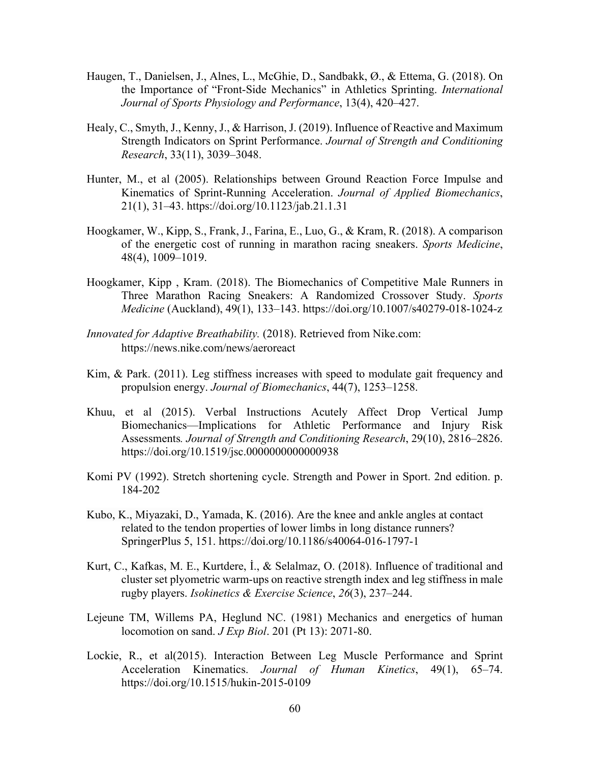- Haugen, T., Danielsen, J., Alnes, L., McGhie, D., Sandbakk, Ø., & Ettema, G. (2018). On the Importance of "Front-Side Mechanics" in Athletics Sprinting. *International Journal of Sports Physiology and Performance*, 13(4), 420–427.
- Healy, C., Smyth, J., Kenny, J., & Harrison, J. (2019). Influence of Reactive and Maximum Strength Indicators on Sprint Performance. *Journal of Strength and Conditioning Research*, 33(11), 3039–3048.
- Hunter, M., et al (2005). Relationships between Ground Reaction Force Impulse and Kinematics of Sprint-Running Acceleration. *Journal of Applied Biomechanics*, 21(1), 31–43. https://doi.org/10.1123/jab.21.1.31
- Hoogkamer, W., Kipp, S., Frank, J., Farina, E., Luo, G., & Kram, R. (2018). A comparison of the energetic cost of running in marathon racing sneakers. *Sports Medicine*, 48(4), 1009–1019.
- Hoogkamer, Kipp , Kram. (2018). The Biomechanics of Competitive Male Runners in Three Marathon Racing Sneakers: A Randomized Crossover Study. *Sports Medicine* (Auckland), 49(1), 133–143. https://doi.org/10.1007/s40279-018-1024-z
- *Innovated for Adaptive Breathability.* (2018). Retrieved from Nike.com: https://news.nike.com/news/aeroreact
- Kim, & Park. (2011). Leg stiffness increases with speed to modulate gait frequency and propulsion energy. *Journal of Biomechanics*, 44(7), 1253–1258.
- Khuu, et al (2015). Verbal Instructions Acutely Affect Drop Vertical Jump Biomechanics—Implications for Athletic Performance and Injury Risk Assessments*. Journal of Strength and Conditioning Research*, 29(10), 2816–2826. https://doi.org/10.1519/jsc.0000000000000938
- Komi PV (1992). Stretch shortening cycle. Strength and Power in Sport. 2nd edition. p. 184-202
- Kubo, K., Miyazaki, D., Yamada, K. (2016). Are the knee and ankle angles at contact related to the tendon properties of lower limbs in long distance runners? SpringerPlus 5, 151. https://doi.org/10.1186/s40064-016-1797-1
- Kurt, C., Kafkas, M. E., Kurtdere, İ., & Selalmaz, O. (2018). Influence of traditional and cluster set plyometric warm-ups on reactive strength index and leg stiffness in male rugby players. *Isokinetics & Exercise Science*, *26*(3), 237–244.
- Lejeune TM, Willems PA, Heglund NC. (1981) Mechanics and energetics of human locomotion on sand. *J Exp Biol*. 201 (Pt 13): 2071-80.
- Lockie, R., et al(2015). Interaction Between Leg Muscle Performance and Sprint Acceleration Kinematics. *Journal of Human Kinetics*, 49(1), 65–74. https://doi.org/10.1515/hukin-2015-0109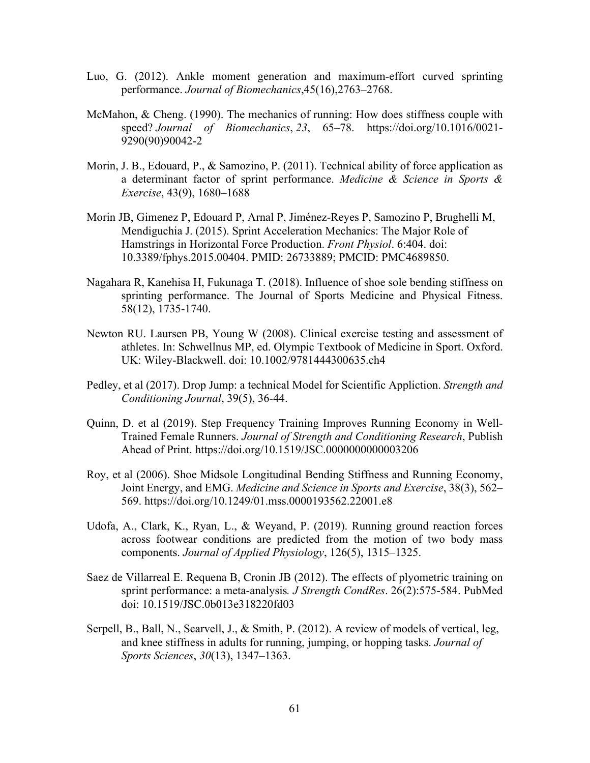- Luo, G. (2012). Ankle moment generation and maximum-effort curved sprinting performance. *Journal of Biomechanics*,45(16),2763–2768.
- McMahon, & Cheng. (1990). The mechanics of running: How does stiffness couple with speed? *Journal of Biomechanics*, *23*, 65–78. https://doi.org/10.1016/0021- 9290(90)90042-2
- Morin, J. B., Edouard, P., & Samozino, P. (2011). Technical ability of force application as a determinant factor of sprint performance. *Medicine & Science in Sports & Exercise*, 43(9), 1680–1688
- Morin JB, Gimenez P, Edouard P, Arnal P, Jiménez-Reyes P, Samozino P, Brughelli M, Mendiguchia J. (2015). Sprint Acceleration Mechanics: The Major Role of Hamstrings in Horizontal Force Production. *Front Physiol*. 6:404. doi: 10.3389/fphys.2015.00404. PMID: 26733889; PMCID: PMC4689850.
- Nagahara R, Kanehisa H, Fukunaga T. (2018). Influence of shoe sole bending stiffness on sprinting performance. The Journal of Sports Medicine and Physical Fitness. 58(12), 1735-1740.
- Newton RU. Laursen PB, Young W (2008). Clinical exercise testing and assessment of athletes. In: Schwellnus MP, ed. Olympic Textbook of Medicine in Sport. Oxford. UK: Wiley-Blackwell. doi: 10.1002/9781444300635.ch4
- Pedley, et al (2017). Drop Jump: a technical Model for Scientific Appliction. *Strength and Conditioning Journal*, 39(5), 36-44.
- Quinn, D. et al (2019). Step Frequency Training Improves Running Economy in Well-Trained Female Runners. *Journal of Strength and Conditioning Research*, Publish Ahead of Print. https://doi.org/10.1519/JSC.0000000000003206
- Roy, et al (2006). Shoe Midsole Longitudinal Bending Stiffness and Running Economy, Joint Energy, and EMG. *Medicine and Science in Sports and Exercise*, 38(3), 562– 569. https://doi.org/10.1249/01.mss.0000193562.22001.e8
- Udofa, A., Clark, K., Ryan, L., & Weyand, P. (2019). Running ground reaction forces across footwear conditions are predicted from the motion of two body mass components. *Journal of Applied Physiology*, 126(5), 1315–1325.
- Saez de Villarreal E. Requena B, Cronin JB (2012). The effects of plyometric training on sprint performance: a meta-analysis*. J Strength CondRes*. 26(2):575-584. PubMed doi: 10.1519/JSC.0b013e318220fd03
- Serpell, B., Ball, N., Scarvell, J., & Smith, P. (2012). A review of models of vertical, leg, and knee stiffness in adults for running, jumping, or hopping tasks. *Journal of Sports Sciences*, *30*(13), 1347–1363.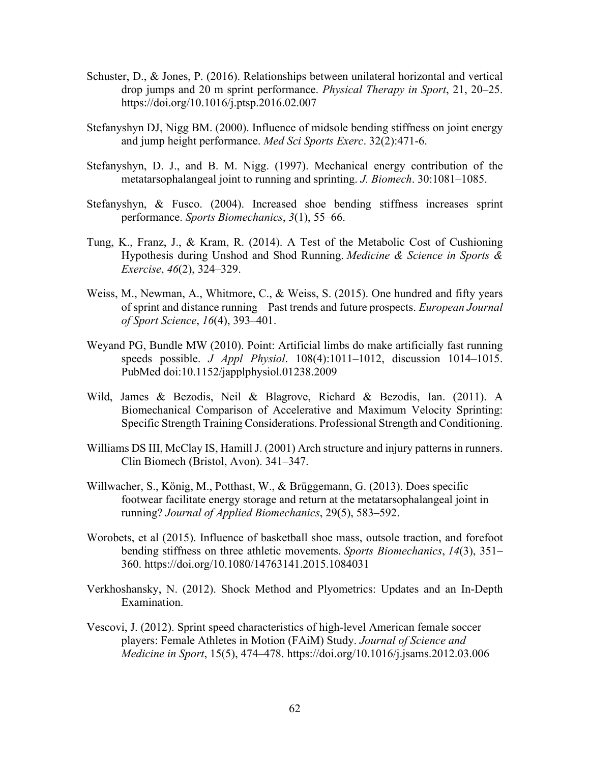- Schuster, D., & Jones, P. (2016). Relationships between unilateral horizontal and vertical drop jumps and 20 m sprint performance. *Physical Therapy in Sport*, 21, 20–25. https://doi.org/10.1016/j.ptsp.2016.02.007
- Stefanyshyn DJ, Nigg BM. (2000). Influence of midsole bending stiffness on joint energy and jump height performance. *Med Sci Sports Exerc*. 32(2):471-6.
- Stefanyshyn, D. J., and B. M. Nigg. (1997). Mechanical energy contribution of the metatarsophalangeal joint to running and sprinting. *J. Biomech*. 30:1081–1085.
- Stefanyshyn, & Fusco. (2004). Increased shoe bending stiffness increases sprint performance. *Sports Biomechanics*, *3*(1), 55–66.
- Tung, K., Franz, J., & Kram, R. (2014). A Test of the Metabolic Cost of Cushioning Hypothesis during Unshod and Shod Running. *Medicine & Science in Sports & Exercise*, *46*(2), 324–329.
- Weiss, M., Newman, A., Whitmore, C., & Weiss, S. (2015). One hundred and fifty years of sprint and distance running – Past trends and future prospects. *European Journal of Sport Science*, *16*(4), 393–401.
- Weyand PG, Bundle MW (2010). Point: Artificial limbs do make artificially fast running speeds possible. *J Appl Physiol*. 108(4):1011–1012, discussion 1014–1015. PubMed doi:10.1152/japplphysiol.01238.2009
- Wild, James & Bezodis, Neil & Blagrove, Richard & Bezodis, Ian. (2011). A Biomechanical Comparison of Accelerative and Maximum Velocity Sprinting: Specific Strength Training Considerations. Professional Strength and Conditioning.
- Williams DS III, McClay IS, Hamill J. (2001) Arch structure and injury patterns in runners. Clin Biomech (Bristol, Avon). 341–347.
- Willwacher, S., König, M., Potthast, W., & Brüggemann, G. (2013). Does specific footwear facilitate energy storage and return at the metatarsophalangeal joint in running? *Journal of Applied Biomechanics*, 29(5), 583–592.
- Worobets, et al (2015). Influence of basketball shoe mass, outsole traction, and forefoot bending stiffness on three athletic movements. *Sports Biomechanics*, *14*(3), 351– 360. https://doi.org/10.1080/14763141.2015.1084031
- Verkhoshansky, N. (2012). Shock Method and Plyometrics: Updates and an In-Depth Examination.
- Vescovi, J. (2012). Sprint speed characteristics of high-level American female soccer players: Female Athletes in Motion (FAiM) Study. *Journal of Science and Medicine in Sport*, 15(5), 474–478. https://doi.org/10.1016/j.jsams.2012.03.006